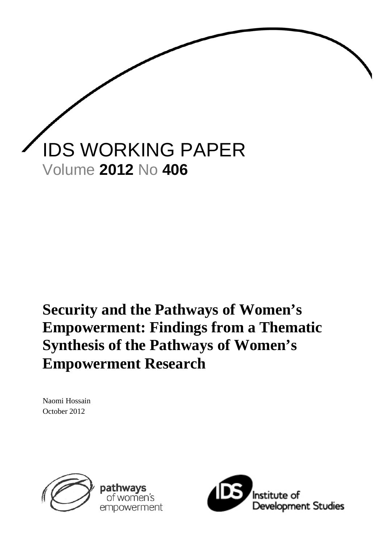

# **Security and the Pathways of Women's Empowerment: Findings from a Thematic Synthesis of the Pathways of Women's Empowerment Research**

Naomi Hossain October 2012



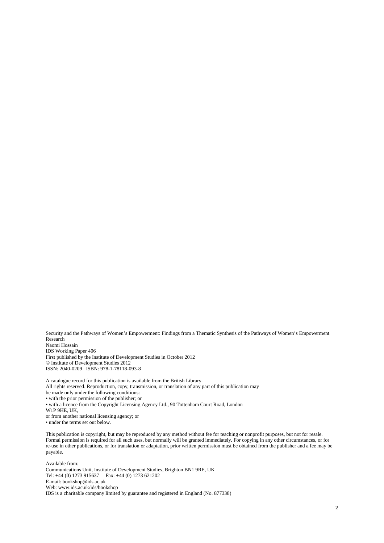Security and the Pathways of Women's Empowerment: Findings from a Thematic Synthesis of the Pathways of Women's Empowerment Research Naomi Hossain

IDS Working Paper 406 First published by the Institute of Development Studies in October 2012 © Institute of Development Studies 2012 ISSN: 2040-0209 ISBN: 978-1-78118-093-8

A catalogue record for this publication is available from the British Library. All rights reserved. Reproduction, copy, transmission, or translation of any part of this publication may be made only under the following conditions: • with the prior permission of the publisher; or • with a licence from the Copyright Licensing Agency Ltd., 90 Tottenham Court Road, London

W1P 9HE, UK, or from another national licensing agency; or

• under the terms set out below.

This publication is copyright, but may be reproduced by any method without fee for teaching or nonprofit purposes, but not for resale. Formal permission is required for all such uses, but normally will be granted immediately. For copying in any other circumstances, or for re-use in other publications, or for translation or adaptation, prior written permission must be obtained from the publisher and a fee may be payable.

Available from: Communications Unit, Institute of Development Studies, Brighton BN1 9RE, UK Tel: +44 (0) 1273 915637 Fax: +44 (0) 1273 621202 E-mail: bookshop@ids.ac.uk Web: www.ids.ac.uk/ids/bookshop IDS is a charitable company limited by guarantee and registered in England (No. 877338)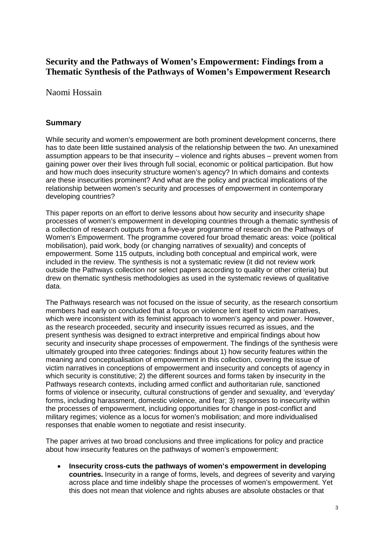## **Security and the Pathways of Women's Empowerment: Findings from a Thematic Synthesis of the Pathways of Women's Empowerment Research**

Naomi Hossain

### **Summary**

While security and women's empowerment are both prominent development concerns, there has to date been little sustained analysis of the relationship between the two. An unexamined assumption appears to be that insecurity – violence and rights abuses – prevent women from gaining power over their lives through full social, economic or political participation. But how and how much does insecurity structure women's agency? In which domains and contexts are these insecurities prominent? And what are the policy and practical implications of the relationship between women's security and processes of empowerment in contemporary developing countries?

This paper reports on an effort to derive lessons about how security and insecurity shape processes of women's empowerment in developing countries through a thematic synthesis of a collection of research outputs from a five-year programme of research on the Pathways of Women's Empowerment. The programme covered four broad thematic areas: voice (political mobilisation), paid work, body (or changing narratives of sexuality) and concepts of empowerment. Some 115 outputs, including both conceptual and empirical work, were included in the review. The synthesis is not a systematic review (it did not review work outside the Pathways collection nor select papers according to quality or other criteria) but drew on thematic synthesis methodologies as used in the systematic reviews of qualitative data.

The Pathways research was not focused on the issue of security, as the research consortium members had early on concluded that a focus on violence lent itself to victim narratives, which were inconsistent with its feminist approach to women's agency and power. However, as the research proceeded, security and insecurity issues recurred as issues, and the present synthesis was designed to extract interpretive and empirical findings about how security and insecurity shape processes of empowerment. The findings of the synthesis were ultimately grouped into three categories: findings about 1) how security features within the meaning and conceptualisation of empowerment in this collection, covering the issue of victim narratives in conceptions of empowerment and insecurity and concepts of agency in which security is constitutive; 2) the different sources and forms taken by insecurity in the Pathways research contexts, including armed conflict and authoritarian rule, sanctioned forms of violence or insecurity, cultural constructions of gender and sexuality, and 'everyday' forms, including harassment, domestic violence, and fear; 3) responses to insecurity within the processes of empowerment, including opportunities for change in post-conflict and military regimes; violence as a locus for women's mobilisation; and more individualised responses that enable women to negotiate and resist insecurity.

The paper arrives at two broad conclusions and three implications for policy and practice about how insecurity features on the pathways of women's empowerment:

• **Insecurity cross-cuts the pathways of women's empowerment in developing countries.** Insecurity in a range of forms, levels, and degrees of severity and varying across place and time indelibly shape the processes of women's empowerment. Yet this does not mean that violence and rights abuses are absolute obstacles or that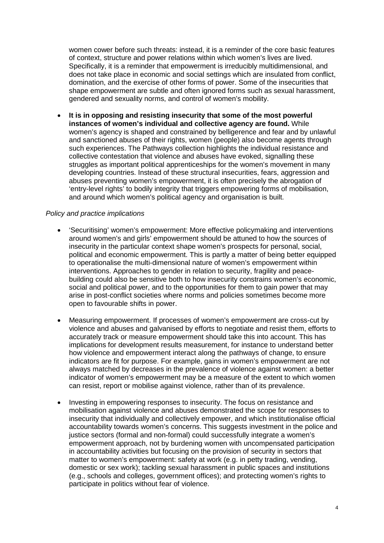women cower before such threats: instead, it is a reminder of the core basic features of context, structure and power relations within which women's lives are lived. Specifically, it is a reminder that empowerment is irreducibly multidimensional, and does not take place in economic and social settings which are insulated from conflict, domination, and the exercise of other forms of power. Some of the insecurities that shape empowerment are subtle and often ignored forms such as sexual harassment, gendered and sexuality norms, and control of women's mobility.

• **It is in opposing and resisting insecurity that some of the most powerful instances of women's individual and collective agency are found.** While women's agency is shaped and constrained by belligerence and fear and by unlawful and sanctioned abuses of their rights, women (people) also become agents through such experiences. The Pathways collection highlights the individual resistance and collective contestation that violence and abuses have evoked, signalling these struggles as important political apprenticeships for the women's movement in many developing countries. Instead of these structural insecurities, fears, aggression and abuses preventing women's empowerment, it is often precisely the abrogation of 'entry-level rights' to bodily integrity that triggers empowering forms of mobilisation, and around which women's political agency and organisation is built.

#### *Policy and practice implications*

- 'Securitising' women's empowerment: More effective policymaking and interventions around women's and girls' empowerment should be attuned to how the sources of insecurity in the particular context shape women's prospects for personal, social, political and economic empowerment. This is partly a matter of being better equipped to operationalise the multi-dimensional nature of women's empowerment within interventions. Approaches to gender in relation to security, fragility and peacebuilding could also be sensitive both to how insecurity constrains women's economic, social and political power, and to the opportunities for them to gain power that may arise in post-conflict societies where norms and policies sometimes become more open to favourable shifts in power.
- Measuring empowerment. If processes of women's empowerment are cross-cut by violence and abuses and galvanised by efforts to negotiate and resist them, efforts to accurately track or measure empowerment should take this into account. This has implications for development results measurement, for instance to understand better how violence and empowerment interact along the pathways of change, to ensure indicators are fit for purpose. For example, gains in women's empowerment are not always matched by decreases in the prevalence of violence against women: a better indicator of women's empowerment may be a measure of the extent to which women can resist, report or mobilise against violence, rather than of its prevalence.
- Investing in empowering responses to insecurity. The focus on resistance and mobilisation against violence and abuses demonstrated the scope for responses to insecurity that individually and collectively empower, and which institutionalise official accountability towards women's concerns. This suggests investment in the police and justice sectors (formal and non-formal) could successfully integrate a women's empowerment approach, not by burdening women with uncompensated participation in accountability activities but focusing on the provision of security in sectors that matter to women's empowerment: safety at work (e.g. in petty trading, vending, domestic or sex work); tackling sexual harassment in public spaces and institutions (e.g., schools and colleges, government offices); and protecting women's rights to participate in politics without fear of violence.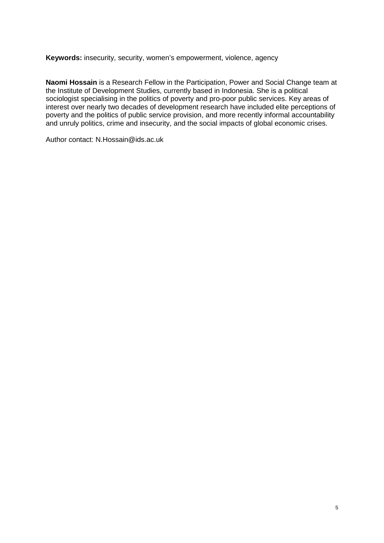**Keywords:** insecurity, security, women's empowerment, violence, agency

**Naomi Hossain** is a Research Fellow in the Participation, Power and Social Change team at the Institute of Development Studies, currently based in Indonesia. She is a political sociologist specialising in the politics of poverty and pro-poor public services. Key areas of interest over nearly two decades of development research have included elite perceptions of poverty and the politics of public service provision, and more recently informal accountability and unruly politics, crime and insecurity, and the social impacts of global economic crises.

Author contact: N.Hossain@ids.ac.uk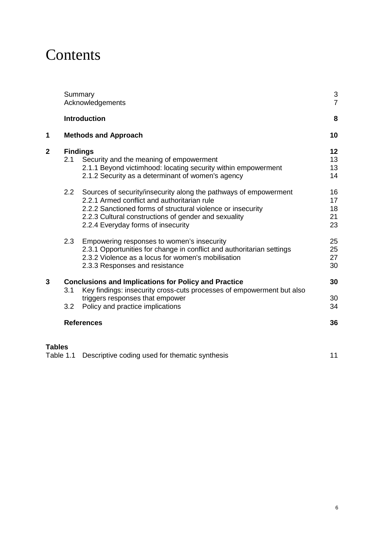## **Contents**

|                | Summary                                                                                                                                     | Acknowledgements                                                                                                                                                                                                                                                             | 3<br>$\overline{7}$        |
|----------------|---------------------------------------------------------------------------------------------------------------------------------------------|------------------------------------------------------------------------------------------------------------------------------------------------------------------------------------------------------------------------------------------------------------------------------|----------------------------|
|                | <b>Introduction</b>                                                                                                                         |                                                                                                                                                                                                                                                                              |                            |
| 1              |                                                                                                                                             | <b>Methods and Approach</b>                                                                                                                                                                                                                                                  |                            |
| $\overline{2}$ | <b>Findings</b><br>2.1                                                                                                                      | Security and the meaning of empowerment<br>2.1.1 Beyond victimhood: locating security within empowerment<br>2.1.2 Security as a determinant of women's agency                                                                                                                | 12<br>13<br>13<br>14       |
|                | 2.2                                                                                                                                         | Sources of security/insecurity along the pathways of empowerment<br>2.2.1 Armed conflict and authoritarian rule<br>2.2.2 Sanctioned forms of structural violence or insecurity<br>2.2.3 Cultural constructions of gender and sexuality<br>2.2.4 Everyday forms of insecurity | 16<br>17<br>18<br>21<br>23 |
|                | 2.3                                                                                                                                         | Empowering responses to women's insecurity<br>2.3.1 Opportunities for change in conflict and authoritarian settings<br>2.3.2 Violence as a locus for women's mobilisation<br>2.3.3 Responses and resistance                                                                  | 25<br>25<br>27<br>30       |
| 3              | <b>Conclusions and Implications for Policy and Practice</b><br>Key findings: insecurity cross-cuts processes of empowerment but also<br>3.1 |                                                                                                                                                                                                                                                                              |                            |
|                | 3.2                                                                                                                                         | triggers responses that empower<br>Policy and practice implications                                                                                                                                                                                                          | 30<br>34                   |
|                |                                                                                                                                             |                                                                                                                                                                                                                                                                              |                            |
|                |                                                                                                                                             | <b>References</b>                                                                                                                                                                                                                                                            | 36                         |
| <b>Tables</b>  |                                                                                                                                             |                                                                                                                                                                                                                                                                              |                            |

|  | Table 1.1 Descriptive coding used for thematic synthesis |  |
|--|----------------------------------------------------------|--|
|--|----------------------------------------------------------|--|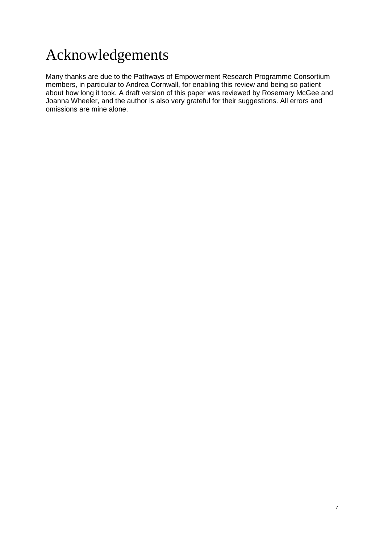# Acknowledgements

Many thanks are due to the Pathways of Empowerment Research Programme Consortium members, in particular to Andrea Cornwall, for enabling this review and being so patient about how long it took. A draft version of this paper was reviewed by Rosemary McGee and Joanna Wheeler, and the author is also very grateful for their suggestions. All errors and omissions are mine alone.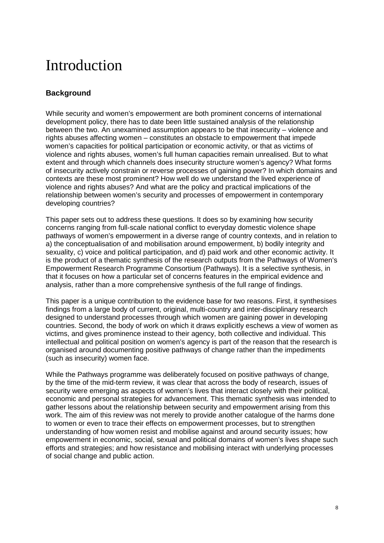## Introduction

## **Background**

While security and women's empowerment are both prominent concerns of international development policy, there has to date been little sustained analysis of the relationship between the two. An unexamined assumption appears to be that insecurity – violence and rights abuses affecting women – constitutes an obstacle to empowerment that impede women's capacities for political participation or economic activity, or that as victims of violence and rights abuses, women's full human capacities remain unrealised. But to what extent and through which channels does insecurity structure women's agency? What forms of insecurity actively constrain or reverse processes of gaining power? In which domains and contexts are these most prominent? How well do we understand the lived experience of violence and rights abuses? And what are the policy and practical implications of the relationship between women's security and processes of empowerment in contemporary developing countries?

This paper sets out to address these questions. It does so by examining how security concerns ranging from full-scale national conflict to everyday domestic violence shape pathways of women's empowerment in a diverse range of country contexts, and in relation to a) the conceptualisation of and mobilisation around empowerment, b) bodily integrity and sexuality, c) voice and political participation, and d) paid work and other economic activity. It is the product of a thematic synthesis of the research outputs from the Pathways of Women's Empowerment Research Programme Consortium (Pathways). It is a selective synthesis, in that it focuses on how a particular set of concerns features in the empirical evidence and analysis, rather than a more comprehensive synthesis of the full range of findings.

This paper is a unique contribution to the evidence base for two reasons. First, it synthesises findings from a large body of current, original, multi-country and inter-disciplinary research designed to understand processes through which women are gaining power in developing countries. Second, the body of work on which it draws explicitly eschews a view of women as victims, and gives prominence instead to their agency, both collective and individual. This intellectual and political position on women's agency is part of the reason that the research is organised around documenting positive pathways of change rather than the impediments (such as insecurity) women face.

While the Pathways programme was deliberately focused on positive pathways of change, by the time of the mid-term review, it was clear that across the body of research, issues of security were emerging as aspects of women's lives that interact closely with their political, economic and personal strategies for advancement. This thematic synthesis was intended to gather lessons about the relationship between security and empowerment arising from this work. The aim of this review was not merely to provide another catalogue of the harms done to women or even to trace their effects on empowerment processes, but to strengthen understanding of how women resist and mobilise against and around security issues; how empowerment in economic, social, sexual and political domains of women's lives shape such efforts and strategies; and how resistance and mobilising interact with underlying processes of social change and public action.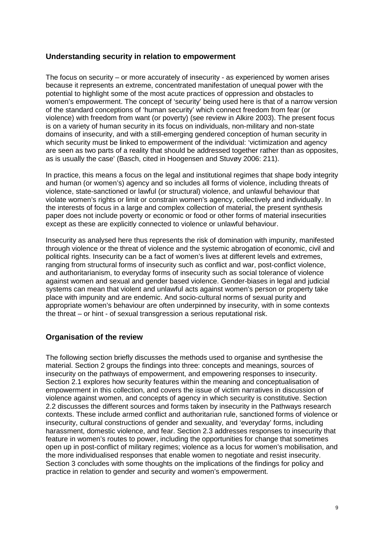#### **Understanding security in relation to empowerment**

The focus on security – or more accurately of insecurity - as experienced by women arises because it represents an extreme, concentrated manifestation of unequal power with the potential to highlight some of the most acute practices of oppression and obstacles to women's empowerment. The concept of 'security' being used here is that of a narrow version of the standard conceptions of 'human security' which connect freedom from fear (or violence) with freedom from want (or poverty) (see review in Alkire 2003). The present focus is on a variety of human security in its focus on individuals, non-military and non-state domains of insecurity, and with a still-emerging gendered conception of human security in which security must be linked to empowerment of the individual: 'victimization and agency are seen as two parts of a reality that should be addressed together rather than as opposites, as is usually the case' (Basch, cited in Hoogensen and Stuvøy 2006: 211).

In practice, this means a focus on the legal and institutional regimes that shape body integrity and human (or women's) agency and so includes all forms of violence, including threats of violence, state-sanctioned or lawful (or structural) violence, and unlawful behaviour that violate women's rights or limit or constrain women's agency, collectively and individually. In the interests of focus in a large and complex collection of material, the present synthesis paper does not include poverty or economic or food or other forms of material insecurities except as these are explicitly connected to violence or unlawful behaviour.

Insecurity as analysed here thus represents the risk of domination with impunity, manifested through violence or the threat of violence and the systemic abrogation of economic, civil and political rights. Insecurity can be a fact of women's lives at different levels and extremes, ranging from structural forms of insecurity such as conflict and war, post-conflict violence, and authoritarianism, to everyday forms of insecurity such as social tolerance of violence against women and sexual and gender based violence. Gender-biases in legal and judicial systems can mean that violent and unlawful acts against women's person or property take place with impunity and are endemic. And socio-cultural norms of sexual purity and appropriate women's behaviour are often underpinned by insecurity, with in some contexts the threat – or hint - of sexual transgression a serious reputational risk.

#### **Organisation of the review**

The following section briefly discusses the methods used to organise and synthesise the material. Section 2 groups the findings into three: concepts and meanings, sources of insecurity on the pathways of empowerment, and empowering responses to insecurity. Section 2.1 explores how security features within the meaning and conceptualisation of empowerment in this collection, and covers the issue of victim narratives in discussion of violence against women, and concepts of agency in which security is constitutive. Section 2.2 discusses the different sources and forms taken by insecurity in the Pathways research contexts. These include armed conflict and authoritarian rule, sanctioned forms of violence or insecurity, cultural constructions of gender and sexuality, and 'everyday' forms, including harassment, domestic violence, and fear. Section 2.3 addresses responses to insecurity that feature in women's routes to power, including the opportunities for change that sometimes open up in post-conflict of military regimes; violence as a locus for women's mobilisation, and the more individualised responses that enable women to negotiate and resist insecurity. Section 3 concludes with some thoughts on the implications of the findings for policy and practice in relation to gender and security and women's empowerment.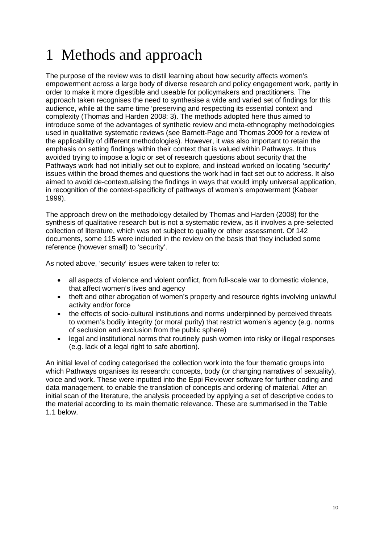# 1 Methods and approach

The purpose of the review was to distil learning about how security affects women's empowerment across a large body of diverse research and policy engagement work, partly in order to make it more digestible and useable for policymakers and practitioners. The approach taken recognises the need to synthesise a wide and varied set of findings for this audience, while at the same time 'preserving and respecting its essential context and complexity (Thomas and Harden 2008: 3). The methods adopted here thus aimed to introduce some of the advantages of synthetic review and meta-ethnography methodologies used in qualitative systematic reviews (see Barnett-Page and Thomas 2009 for a review of the applicability of different methodologies). However, it was also important to retain the emphasis on setting findings within their context that is valued within Pathways. It thus avoided trying to impose a logic or set of research questions about security that the Pathways work had not initially set out to explore, and instead worked on locating 'security' issues within the broad themes and questions the work had in fact set out to address. It also aimed to avoid de-contextualising the findings in ways that would imply universal application, in recognition of the context-specificity of pathways of women's empowerment (Kabeer 1999).

The approach drew on the methodology detailed by Thomas and Harden (2008) for the synthesis of qualitative research but is not a systematic review, as it involves a pre-selected collection of literature, which was not subject to quality or other assessment. Of 142 documents, some 115 were included in the review on the basis that they included some reference (however small) to 'security'.

As noted above, 'security' issues were taken to refer to:

- all aspects of violence and violent conflict, from full-scale war to domestic violence, that affect women's lives and agency
- theft and other abrogation of women's property and resource rights involving unlawful activity and/or force
- the effects of socio-cultural institutions and norms underpinned by perceived threats to women's bodily integrity (or moral purity) that restrict women's agency (e.g. norms of seclusion and exclusion from the public sphere)
- legal and institutional norms that routinely push women into risky or illegal responses (e.g. lack of a legal right to safe abortion).

An initial level of coding categorised the collection work into the four thematic groups into which Pathways organises its research: concepts, body (or changing narratives of sexuality), voice and work. These were inputted into the Eppi Reviewer software for further coding and data management, to enable the translation of concepts and ordering of material. After an initial scan of the literature, the analysis proceeded by applying a set of descriptive codes to the material according to its main thematic relevance. These are summarised in the Table 1.1 below.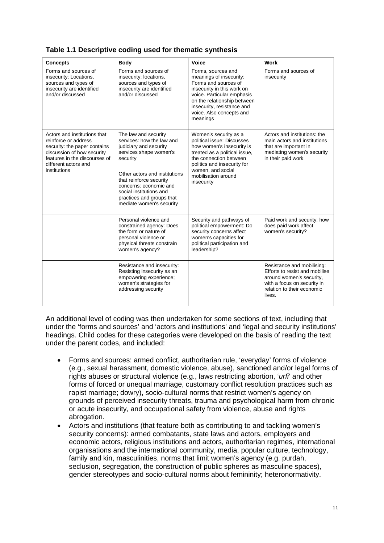| <b>Concepts</b>                                                                                                                                                                             | <b>Body</b>                                                                                                                                                                                                                                                                                 | Voice                                                                                                                                                                                                                                  | Work                                                                                                                                                            |
|---------------------------------------------------------------------------------------------------------------------------------------------------------------------------------------------|---------------------------------------------------------------------------------------------------------------------------------------------------------------------------------------------------------------------------------------------------------------------------------------------|----------------------------------------------------------------------------------------------------------------------------------------------------------------------------------------------------------------------------------------|-----------------------------------------------------------------------------------------------------------------------------------------------------------------|
| Forms and sources of<br>insecurity: Locations,<br>sources and types of<br>insecurity are identified<br>and/or discussed                                                                     | Forms and sources of<br>insecurity: locations,<br>sources and types of<br>insecurity are identified<br>and/or discussed                                                                                                                                                                     | Forms, sources and<br>meanings of insecurity:<br>Forms and sources of<br>insecurity in this work on<br>voice. Particular emphasis<br>on the relationship between<br>insecurity, resistance and<br>voice. Also concepts and<br>meanings | Forms and sources of<br>insecurity                                                                                                                              |
| Actors and institutions that<br>reinforce or address<br>security: the paper contains<br>discussion of how security<br>features in the discourses of<br>different actors and<br>institutions | The law and security<br>services: how the law and<br>judiciary and security<br>services shape women's<br>security<br>Other actors and institutions<br>that reinforce security<br>concerns: economic and<br>social institutions and<br>practices and groups that<br>mediate women's security | Women's security as a<br>political issue: Discusses<br>how women's insecurity is<br>treated as a political issue,<br>the connection between<br>politics and insecurity for<br>women, and social<br>mobilisation around<br>insecurity   | Actors and institutions: the<br>main actors and institutions<br>that are important in<br>mediating women's security<br>in their paid work                       |
|                                                                                                                                                                                             | Personal violence and<br>constrained agency: Does<br>the form or nature of<br>personal violence or<br>physical threats constrain<br>women's agency?                                                                                                                                         | Security and pathways of<br>political empowerment: Do<br>security concerns affect<br>women's capacities for<br>political participation and<br>leadership?                                                                              | Paid work and security: how<br>does paid work affect<br>women's security?                                                                                       |
|                                                                                                                                                                                             | Resistance and insecurity:<br>Resisting insecurity as an<br>empowering experience;<br>women's strategies for<br>addressing security                                                                                                                                                         |                                                                                                                                                                                                                                        | Resistance and mobilising:<br>Efforts to resist and mobilise<br>around women's security,<br>with a focus on security in<br>relation to their economic<br>lives. |

### **Table 1.1 Descriptive coding used for thematic synthesis**

An additional level of coding was then undertaken for some sections of text, including that under the 'forms and sources' and 'actors and institutions' and 'legal and security institutions' headings. Child codes for these categories were developed on the basis of reading the text under the parent codes, and included:

- Forms and sources: armed conflict, authoritarian rule, 'everyday' forms of violence (e.g., sexual harassment, domestic violence, abuse), sanctioned and/or legal forms of rights abuses or structural violence (e.g., laws restricting abortion, '*urfi*' and other forms of forced or unequal marriage, customary conflict resolution practices such as rapist marriage; dowry), socio-cultural norms that restrict women's agency on grounds of perceived insecurity threats, trauma and psychological harm from chronic or acute insecurity, and occupational safety from violence, abuse and rights abrogation.
- Actors and institutions (that feature both as contributing to and tackling women's security concerns): armed combatants, state laws and actors, employers and economic actors, religious institutions and actors, authoritarian regimes, international organisations and the international community, media, popular culture, technology, family and kin, masculinities, norms that limit women's agency (e.g. purdah, seclusion, segregation, the construction of public spheres as masculine spaces), gender stereotypes and socio-cultural norms about femininity; heteronormativity.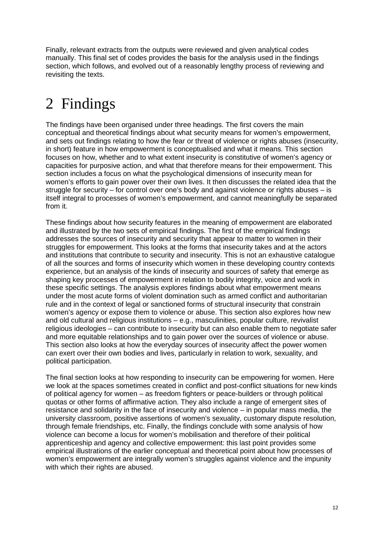Finally, relevant extracts from the outputs were reviewed and given analytical codes manually. This final set of codes provides the basis for the analysis used in the findings section, which follows, and evolved out of a reasonably lengthy process of reviewing and revisiting the texts.

# 2 Findings

The findings have been organised under three headings. The first covers the main conceptual and theoretical findings about what security means for women's empowerment, and sets out findings relating to how the fear or threat of violence or rights abuses (insecurity, in short) feature in how empowerment is conceptualised and what it means. This section focuses on how, whether and to what extent insecurity is constitutive of women's agency or capacities for purposive action, and what that therefore means for their empowerment. This section includes a focus on what the psychological dimensions of insecurity mean for women's efforts to gain power over their own lives. It then discusses the related idea that the struggle for security – for control over one's body and against violence or rights abuses – is itself integral to processes of women's empowerment, and cannot meaningfully be separated from it.

These findings about how security features in the meaning of empowerment are elaborated and illustrated by the two sets of empirical findings. The first of the empirical findings addresses the sources of insecurity and security that appear to matter to women in their struggles for empowerment. This looks at the forms that insecurity takes and at the actors and institutions that contribute to security and insecurity. This is not an exhaustive catalogue of all the sources and forms of insecurity which women in these developing country contexts experience, but an analysis of the kinds of insecurity and sources of safety that emerge as shaping key processes of empowerment in relation to bodily integrity, voice and work in these specific settings. The analysis explores findings about what empowerment means under the most acute forms of violent domination such as armed conflict and authoritarian rule and in the context of legal or sanctioned forms of structural insecurity that constrain women's agency or expose them to violence or abuse. This section also explores how new and old cultural and religious institutions – e.g., masculinities, popular culture, revivalist religious ideologies – can contribute to insecurity but can also enable them to negotiate safer and more equitable relationships and to gain power over the sources of violence or abuse. This section also looks at how the everyday sources of insecurity affect the power women can exert over their own bodies and lives, particularly in relation to work, sexuality, and political participation.

The final section looks at how responding to insecurity can be empowering for women. Here we look at the spaces sometimes created in conflict and post-conflict situations for new kinds of political agency for women – as freedom fighters or peace-builders or through political quotas or other forms of affirmative action. They also include a range of emergent sites of resistance and solidarity in the face of insecurity and violence – in popular mass media, the university classroom, positive assertions of women's sexuality, customary dispute resolution, through female friendships, etc. Finally, the findings conclude with some analysis of how violence can become a locus for women's mobilisation and therefore of their political apprenticeship and agency and collective empowerment: this last point provides some empirical illustrations of the earlier conceptual and theoretical point about how processes of women's empowerment are integrally women's struggles against violence and the impunity with which their rights are abused.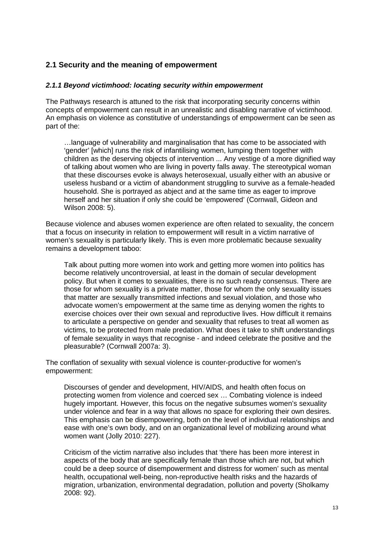### **2.1 Security and the meaning of empowerment**

#### *2.1.1 Beyond victimhood: locating security within empowerment*

The Pathways research is attuned to the risk that incorporating security concerns within concepts of empowerment can result in an unrealistic and disabling narrative of victimhood. An emphasis on violence as constitutive of understandings of empowerment can be seen as part of the:

…language of vulnerability and marginalisation that has come to be associated with 'gender' [which] runs the risk of infantilising women, lumping them together with children as the deserving objects of intervention ... Any vestige of a more dignified way of talking about women who are living in poverty falls away. The stereotypical woman that these discourses evoke is always heterosexual, usually either with an abusive or useless husband or a victim of abandonment struggling to survive as a female-headed household. She is portrayed as abject and at the same time as eager to improve herself and her situation if only she could be 'empowered' (Cornwall, Gideon and Wilson 2008: 5).

Because violence and abuses women experience are often related to sexuality, the concern that a focus on insecurity in relation to empowerment will result in a victim narrative of women's sexuality is particularly likely. This is even more problematic because sexuality remains a development taboo:

Talk about putting more women into work and getting more women into politics has become relatively uncontroversial, at least in the domain of secular development policy. But when it comes to sexualities, there is no such ready consensus. There are those for whom sexuality is a private matter, those for whom the only sexuality issues that matter are sexually transmitted infections and sexual violation, and those who advocate women's empowerment at the same time as denying women the rights to exercise choices over their own sexual and reproductive lives. How difficult it remains to articulate a perspective on gender and sexuality that refuses to treat all women as victims, to be protected from male predation. What does it take to shift understandings of female sexuality in ways that recognise - and indeed celebrate the positive and the pleasurable? (Cornwall 2007a: 3).

The conflation of sexuality with sexual violence is counter-productive for women's empowerment:

Discourses of gender and development, HIV/AIDS, and health often focus on protecting women from violence and coerced sex … Combating violence is indeed hugely important. However, this focus on the negative subsumes women's sexuality under violence and fear in a way that allows no space for exploring their own desires. This emphasis can be disempowering, both on the level of individual relationships and ease with one's own body, and on an organizational level of mobilizing around what women want (Jolly 2010: 227).

Criticism of the victim narrative also includes that 'there has been more interest in aspects of the body that are specifically female than those which are not, but which could be a deep source of disempowerment and distress for women' such as mental health, occupational well-being, non-reproductive health risks and the hazards of migration, urbanization, environmental degradation, pollution and poverty (Sholkamy 2008: 92).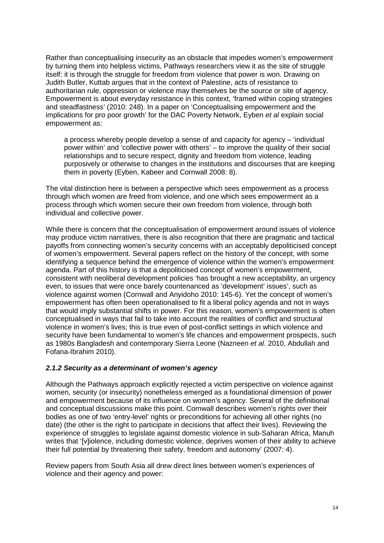Rather than conceptualising insecurity as an obstacle that impedes women's empowerment by turning them into helpless victims, Pathways researchers view it as the site of struggle itself: it is through the struggle for freedom from violence that power is won. Drawing on Judith Butler, Kuttab argues that in the context of Palestine, acts of resistance to authoritarian rule, oppression or violence may themselves be the source or site of agency. Empowerment is about everyday resistance in this context, 'framed within coping strategies and steadfastness' (2010: 248). In a paper on 'Conceptualising empowerment and the implications for pro poor growth' for the DAC Poverty Network, Eyben *et al* explain social empowerment as:

a process whereby people develop a sense of and capacity for agency – 'individual power within' and 'collective power with others' – to improve the quality of their social relationships and to secure respect, dignity and freedom from violence, leading purposively or otherwise to changes in the institutions and discourses that are keeping them in poverty (Eyben, Kabeer and Cornwall 2008: 8).

The vital distinction here is between a perspective which sees empowerment as a process through which women are freed from violence, and one which sees empowerment as a process through which women secure their own freedom from violence, through both individual and collective power.

While there is concern that the conceptualisation of empowerment around issues of violence may produce victim narratives, there is also recognition that there are pragmatic and tactical payoffs from connecting women's security concerns with an acceptably depoliticised concept of women's empowerment. Several papers reflect on the history of the concept, with some identifying a sequence behind the emergence of violence within the women's empowerment agenda. Part of this history is that a depoliticised concept of women's empowerment, consistent with neoliberal development policies 'has brought a new acceptability, an urgency even, to issues that were once barely countenanced as 'development' issues', such as violence against women (Cornwall and Anyidoho 2010: 145-6). Yet the concept of women's empowerment has often been operationalised to fit a liberal policy agenda and not in ways that would imply substantial shifts in power. For this reason, women's empowerment is often conceptualised in ways that fail to take into account the realities of conflict and structural violence in women's lives; this is true even of post-conflict settings in which violence and security have been fundamental to women's life chances and empowerment prospects, such as 1980s Bangladesh and contemporary Sierra Leone (Nazneen *et al.* 2010, Abdullah and Fofana-Ibrahim 2010).

#### *2.1.2 Security as a determinant of women's agency*

Although the Pathways approach explicitly rejected a victim perspective on violence against women, security (or insecurity) nonetheless emerged as a foundational dimension of power and empowerment because of its influence on women's agency. Several of the definitional and conceptual discussions make this point. Cornwall describes women's rights over their bodies as one of two 'entry-level' rights or preconditions for achieving all other rights (no date) (the other is the right to participate in decisions that affect their lives). Reviewing the experience of struggles to legislate against domestic violence in sub-Saharan Africa, Manuh writes that '[v]iolence, including domestic violence, deprives women of their ability to achieve their full potential by threatening their safety, freedom and autonomy' (2007: 4).

Review papers from South Asia all drew direct lines between women's experiences of violence and their agency and power: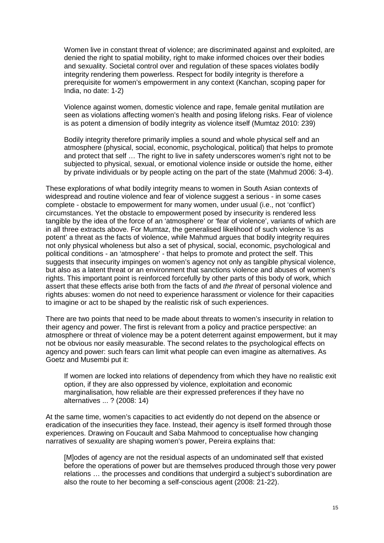Women live in constant threat of violence; are discriminated against and exploited, are denied the right to spatial mobility, right to make informed choices over their bodies and sexuality. Societal control over and regulation of these spaces violates bodily integrity rendering them powerless. Respect for bodily integrity is therefore a prerequisite for women's empowerment in any context (Kanchan, scoping paper for India, no date: 1-2)

Violence against women, domestic violence and rape, female genital mutilation are seen as violations affecting women's health and posing lifelong risks. Fear of violence is as potent a dimension of bodily integrity as violence itself (Mumtaz 2010: 239)

Bodily integrity therefore primarily implies a sound and whole physical self and an atmosphere (physical, social, economic, psychological, political) that helps to promote and protect that self … The right to live in safety underscores women's right not to be subjected to physical, sexual, or emotional violence inside or outside the home, either by private individuals or by people acting on the part of the state (Mahmud 2006: 3-4).

These explorations of what bodily integrity means to women in South Asian contexts of widespread and routine violence and fear of violence suggest a serious - in some cases complete - obstacle to empowerment for many women, under usual (i.e., not 'conflict') circumstances. Yet the obstacle to empowerment posed by insecurity is rendered less tangible by the idea of the force of an 'atmosphere' or 'fear of violence', variants of which are in all three extracts above. For Mumtaz, the generalised likelihood of such violence 'is as potent' a threat as the facts of violence, while Mahmud argues that bodily integrity requires not only physical wholeness but also a set of physical, social, economic, psychological and political conditions - an 'atmosphere' - that helps to promote and protect the self. This suggests that insecurity impinges on women's agency not only as tangible physical violence, but also as a latent threat or an environment that sanctions violence and abuses of women's rights. This important point is reinforced forcefully by other parts of this body of work, which assert that these effects arise both from the facts of and *the threat* of personal violence and rights abuses: women do not need to experience harassment or violence for their capacities to imagine or act to be shaped by the realistic risk of such experiences.

There are two points that need to be made about threats to women's insecurity in relation to their agency and power. The first is relevant from a policy and practice perspective: an atmosphere or threat of violence may be a potent deterrent against empowerment, but it may not be obvious nor easily measurable. The second relates to the psychological effects on agency and power: such fears can limit what people can even imagine as alternatives. As Goetz and Musembi put it:

If women are locked into relations of dependency from which they have no realistic exit option, if they are also oppressed by violence, exploitation and economic marginalisation, how reliable are their expressed preferences if they have no alternatives ... ? (2008: 14)

At the same time, women's capacities to act evidently do not depend on the absence or eradication of the insecurities they face. Instead, their agency is itself formed through those experiences. Drawing on Foucault and Saba Mahmood to conceptualise how changing narratives of sexuality are shaping women's power, Pereira explains that:

[M]odes of agency are not the residual aspects of an undominated self that existed before the operations of power but are themselves produced through those very power relations … the processes and conditions that undergird a subject's subordination are also the route to her becoming a self-conscious agent (2008: 21-22).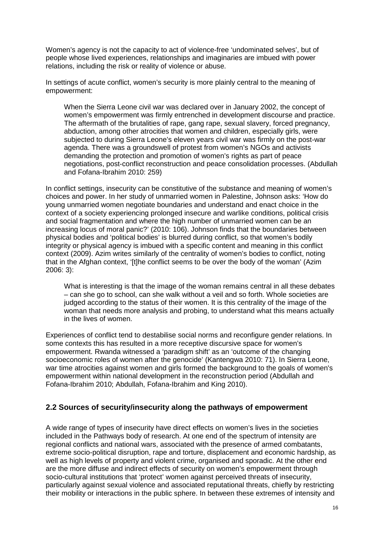Women's agency is not the capacity to act of violence-free 'undominated selves', but of people whose lived experiences, relationships and imaginaries are imbued with power relations, including the risk or reality of violence or abuse.

In settings of acute conflict, women's security is more plainly central to the meaning of empowerment:

When the Sierra Leone civil war was declared over in January 2002, the concept of women's empowerment was firmly entrenched in development discourse and practice. The aftermath of the brutalities of rape, gang rape, sexual slavery, forced pregnancy, abduction, among other atrocities that women and children, especially girls, were subjected to during Sierra Leone's eleven years civil war was firmly on the post-war agenda. There was a groundswell of protest from women's NGOs and activists demanding the protection and promotion of women's rights as part of peace negotiations, post-conflict reconstruction and peace consolidation processes. (Abdullah and Fofana-Ibrahim 2010: 259)

In conflict settings, insecurity can be constitutive of the substance and meaning of women's choices and power. In her study of unmarried women in Palestine, Johnson asks: 'How do young unmarried women negotiate boundaries and understand and enact choice in the context of a society experiencing prolonged insecure and warlike conditions, political crisis and social fragmentation and where the high number of unmarried women can be an increasing locus of moral panic?' (2010: 106). Johnson finds that the boundaries between physical bodies and 'political bodies' is blurred during conflict, so that women's bodily integrity or physical agency is imbued with a specific content and meaning in this conflict context (2009). Azim writes similarly of the centrality of women's bodies to conflict, noting that in the Afghan context, '[t]he conflict seems to be over the body of the woman' (Azim 2006: 3):

What is interesting is that the image of the woman remains central in all these debates – can she go to school, can she walk without a veil and so forth. Whole societies are judged according to the status of their women. It is this centrality of the image of the woman that needs more analysis and probing, to understand what this means actually in the lives of women.

Experiences of conflict tend to destabilise social norms and reconfigure gender relations. In some contexts this has resulted in a more receptive discursive space for women's empowerment. Rwanda witnessed a 'paradigm shift' as an 'outcome of the changing socioeconomic roles of women after the genocide' (Kantengwa 2010: 71). In Sierra Leone, war time atrocities against women and girls formed the background to the goals of women's empowerment within national development in the reconstruction period (Abdullah and Fofana-Ibrahim 2010; Abdullah, Fofana-Ibrahim and King 2010).

#### **2.2 Sources of security/insecurity along the pathways of empowerment**

A wide range of types of insecurity have direct effects on women's lives in the societies included in the Pathways body of research. At one end of the spectrum of intensity are regional conflicts and national wars, associated with the presence of armed combatants, extreme socio-political disruption, rape and torture, displacement and economic hardship, as well as high levels of property and violent crime, organised and sporadic. At the other end are the more diffuse and indirect effects of security on women's empowerment through socio-cultural institutions that 'protect' women against perceived threats of insecurity, particularly against sexual violence and associated reputational threats, chiefly by restricting their mobility or interactions in the public sphere. In between these extremes of intensity and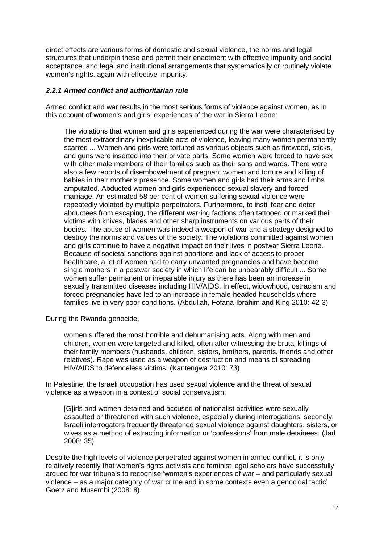direct effects are various forms of domestic and sexual violence, the norms and legal structures that underpin these and permit their enactment with effective impunity and social acceptance, and legal and institutional arrangements that systematically or routinely violate women's rights, again with effective impunity.

#### *2.2.1 Armed conflict and authoritarian rule*

Armed conflict and war results in the most serious forms of violence against women, as in this account of women's and girls' experiences of the war in Sierra Leone:

The violations that women and girls experienced during the war were characterised by the most extraordinary inexplicable acts of violence, leaving many women permanently scarred ... Women and girls were tortured as various objects such as firewood, sticks, and guns were inserted into their private parts. Some women were forced to have sex with other male members of their families such as their sons and wards. There were also a few reports of disembowelment of pregnant women and torture and killing of babies in their mother's presence. Some women and girls had their arms and limbs amputated. Abducted women and girls experienced sexual slavery and forced marriage. An estimated 58 per cent of women suffering sexual violence were repeatedly violated by multiple perpetrators. Furthermore, to instil fear and deter abductees from escaping, the different warring factions often tattooed or marked their victims with knives, blades and other sharp instruments on various parts of their bodies. The abuse of women was indeed a weapon of war and a strategy designed to destroy the norms and values of the society. The violations committed against women and girls continue to have a negative impact on their lives in postwar Sierra Leone. Because of societal sanctions against abortions and lack of access to proper healthcare, a lot of women had to carry unwanted pregnancies and have become single mothers in a postwar society in which life can be unbearably difficult ... Some women suffer permanent or irreparable injury as there has been an increase in sexually transmitted diseases including HIV/AIDS. In effect, widowhood, ostracism and forced pregnancies have led to an increase in female-headed households where families live in very poor conditions. (Abdullah, Fofana-Ibrahim and King 2010: 42-3)

During the Rwanda genocide,

women suffered the most horrible and dehumanising acts. Along with men and children, women were targeted and killed, often after witnessing the brutal killings of their family members (husbands, children, sisters, brothers, parents, friends and other relatives). Rape was used as a weapon of destruction and means of spreading HIV/AIDS to defenceless victims. (Kantengwa 2010: 73)

In Palestine, the Israeli occupation has used sexual violence and the threat of sexual violence as a weapon in a context of social conservatism:

[G]irls and women detained and accused of nationalist activities were sexually assaulted or threatened with such violence, especially during interrogations; secondly, Israeli interrogators frequently threatened sexual violence against daughters, sisters, or wives as a method of extracting information or 'confessions' from male detainees. (Jad 2008: 35)

Despite the high levels of violence perpetrated against women in armed conflict, it is only relatively recently that women's rights activists and feminist legal scholars have successfully argued for war tribunals to recognise 'women's experiences of war – and particularly sexual violence – as a major category of war crime and in some contexts even a genocidal tactic' Goetz and Musembi (2008: 8).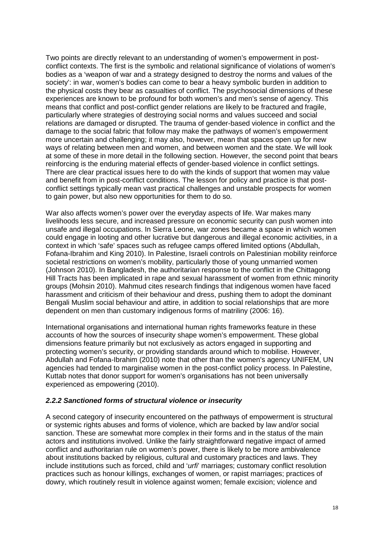Two points are directly relevant to an understanding of women's empowerment in postconflict contexts. The first is the symbolic and relational significance of violations of women's bodies as a 'weapon of war and a strategy designed to destroy the norms and values of the society': in war, women's bodies can come to bear a heavy symbolic burden in addition to the physical costs they bear as casualties of conflict. The psychosocial dimensions of these experiences are known to be profound for both women's and men's sense of agency. This means that conflict and post-conflict gender relations are likely to be fractured and fragile, particularly where strategies of destroying social norms and values succeed and social relations are damaged or disrupted. The trauma of gender-based violence in conflict and the damage to the social fabric that follow may make the pathways of women's empowerment more uncertain and challenging; it may also, however, mean that spaces open up for new ways of relating between men and women, and between women and the state. We will look at some of these in more detail in the following section. However, the second point that bears reinforcing is the enduring material effects of gender-based violence in conflict settings. There are clear practical issues here to do with the kinds of support that women may value and benefit from in post-conflict conditions. The lesson for policy and practice is that postconflict settings typically mean vast practical challenges and unstable prospects for women to gain power, but also new opportunities for them to do so.

War also affects women's power over the everyday aspects of life. War makes many livelihoods less secure, and increased pressure on economic security can push women into unsafe and illegal occupations. In Sierra Leone, war zones became a space in which women could engage in looting and other lucrative but dangerous and illegal economic activities, in a context in which 'safe' spaces such as refugee camps offered limited options (Abdullah, Fofana-Ibrahim and King 2010). In Palestine, Israeli controls on Palestinian mobility reinforce societal restrictions on women's mobility, particularly those of young unmarried women (Johnson 2010). In Bangladesh, the authoritarian response to the conflict in the Chittagong Hill Tracts has been implicated in rape and sexual harassment of women from ethnic minority groups (Mohsin 2010). Mahmud cites research findings that indigenous women have faced harassment and criticism of their behaviour and dress, pushing them to adopt the dominant Bengali Muslim social behaviour and attire, in addition to social relationships that are more dependent on men than customary indigenous forms of matriliny (2006: 16).

International organisations and international human rights frameworks feature in these accounts of how the sources of insecurity shape women's empowerment. These global dimensions feature primarily but not exclusively as actors engaged in supporting and protecting women's security, or providing standards around which to mobilise. However, Abdullah and Fofana-Ibrahim (2010) note that other than the women's agency UNIFEM, UN agencies had tended to marginalise women in the post-conflict policy process. In Palestine, Kuttab notes that donor support for women's organisations has not been universally experienced as empowering (2010).

#### *2.2.2 Sanctioned forms of structural violence or insecurity*

A second category of insecurity encountered on the pathways of empowerment is structural or systemic rights abuses and forms of violence, which are backed by law and/or social sanction. These are somewhat more complex in their forms and in the status of the main actors and institutions involved. Unlike the fairly straightforward negative impact of armed conflict and authoritarian rule on women's power, there is likely to be more ambivalence about institutions backed by religious, cultural and customary practices and laws. They include institutions such as forced, child and '*urfi*' marriages; customary conflict resolution practices such as honour killings, exchanges of women, or rapist marriages; practices of dowry, which routinely result in violence against women; female excision; violence and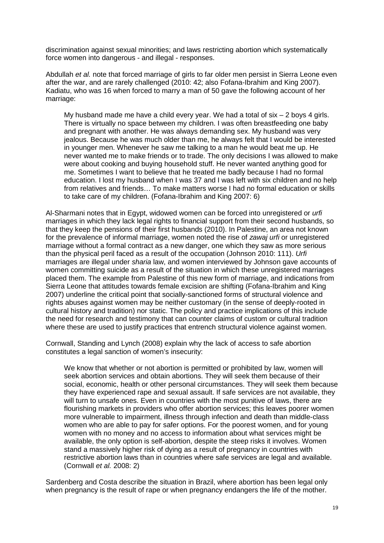discrimination against sexual minorities; and laws restricting abortion which systematically force women into dangerous - and illegal - responses.

Abdullah *et al.* note that forced marriage of girls to far older men persist in Sierra Leone even after the war, and are rarely challenged (2010: 42; also Fofana-Ibrahim and King 2007). Kadiatu, who was 16 when forced to marry a man of 50 gave the following account of her marriage:

My husband made me have a child every year. We had a total of  $six - 2$  boys 4 girls. There is virtually no space between my children. I was often breastfeeding one baby and pregnant with another. He was always demanding sex. My husband was very jealous. Because he was much older than me, he always felt that I would be interested in younger men. Whenever he saw me talking to a man he would beat me up. He never wanted me to make friends or to trade. The only decisions I was allowed to make were about cooking and buying household stuff. He never wanted anything good for me. Sometimes I want to believe that he treated me badly because I had no formal education. I lost my husband when I was 37 and I was left with six children and no help from relatives and friends… To make matters worse I had no formal education or skills to take care of my children. (Fofana-Ibrahim and King 2007: 6)

Al-Sharmani notes that in Egypt, widowed women can be forced into unregistered or *urfi*  marriages in which they lack legal rights to financial support from their second husbands, so that they keep the pensions of their first husbands (2010). In Palestine, an area not known for the prevalence of informal marriage, women noted the rise of *zawaj urfi* or unregistered marriage without a formal contract as a new danger, one which they saw as more serious than the physical peril faced as a result of the occupation (Johnson 2010: 111). *Urfi*  marriages are illegal under *sharia* law, and women interviewed by Johnson gave accounts of women committing suicide as a result of the situation in which these unregistered marriages placed them. The example from Palestine of this new form of marriage, and indications from Sierra Leone that attitudes towards female excision are shifting (Fofana-Ibrahim and King 2007) underline the critical point that socially-sanctioned forms of structural violence and rights abuses against women may be neither customary (in the sense of deeply-rooted in cultural history and tradition) nor static. The policy and practice implications of this include the need for research and testimony that can counter claims of custom or cultural tradition where these are used to justify practices that entrench structural violence against women.

Cornwall, Standing and Lynch (2008) explain why the lack of access to safe abortion constitutes a legal sanction of women's insecurity:

We know that whether or not abortion is permitted or prohibited by law, women will seek abortion services and obtain abortions. They will seek them because of their social, economic, health or other personal circumstances. They will seek them because they have experienced rape and sexual assault. If safe services are not available, they will turn to unsafe ones. Even in countries with the most punitive of laws, there are flourishing markets in providers who offer abortion services; this leaves poorer women more vulnerable to impairment, illness through infection and death than middle-class women who are able to pay for safer options. For the poorest women, and for young women with no money and no access to information about what services might be available, the only option is self-abortion, despite the steep risks it involves. Women stand a massively higher risk of dying as a result of pregnancy in countries with restrictive abortion laws than in countries where safe services are legal and available. (Cornwall *et al.* 2008: 2)

Sardenberg and Costa describe the situation in Brazil, where abortion has been legal only when pregnancy is the result of rape or when pregnancy endangers the life of the mother.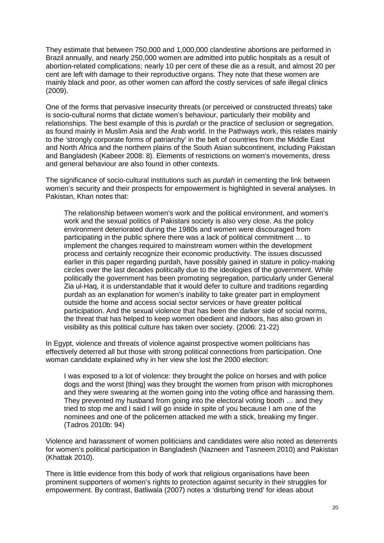They estimate that between 750,000 and 1,000,000 clandestine abortions are performed in Brazil annually, and nearly 250,000 women are admitted into public hospitals as a result of abortion-related complications; nearly 10 per cent of these die as a result, and almost 20 per cent are left with damage to their reproductive organs. They note that these women are mainly black and poor, as other women can afford the costly services of safe illegal clinics (2009).

One of the forms that pervasive insecurity threats (or perceived or constructed threats) take is socio-cultural norms that dictate women's behaviour, particularly their mobility and relationships. The best example of this is *purdah* or the practice of seclusion or segregation, as found mainly in Muslim Asia and the Arab world. In the Pathways work, this relates mainly to the 'strongly corporate forms of patriarchy' in the belt of countries from the Middle East and North Africa and the northern plains of the South Asian subcontinent, including Pakistan and Bangladesh (Kabeer 2008: 8). Elements of restrictions on women's movements, dress and general behaviour are also found in other contexts.

The significance of socio-cultural institutions such as *purdah* in cementing the link between women's security and their prospects for empowerment is highlighted in several analyses. In Pakistan, Khan notes that:

The relationship between women's work and the political environment, and women's work and the sexual politics of Pakistani society is also very close. As the policy environment deteriorated during the 1980s and women were discouraged from participating in the public sphere there was a lack of political commitment … to implement the changes required to mainstream women within the development process and certainly recognize their economic productivity. The issues discussed earlier in this paper regarding purdah, have possibly gained in stature in policy-making circles over the last decades politically due to the ideologies of the government. While politically the government has been promoting segregation, particularly under General Zia ul-Haq, it is understandable that it would defer to culture and traditions regarding purdah as an explanation for women's inability to take greater part in employment outside the home and access social sector services or have greater political participation. And the sexual violence that has been the darker side of social norms, the threat that has helped to keep women obedient and indoors, has also grown in visibility as this political culture has taken over society. (2006: 21-22)

In Egypt, violence and threats of violence against prospective women politicians has effectively deterred all but those with strong political connections from participation. One woman candidate explained why in her view she lost the 2000 election:

I was exposed to a lot of violence: they brought the police on horses and with police dogs and the worst [thing] was they brought the women from prison with microphones and they were swearing at the women going into the voting office and harassing them. They prevented my husband from going into the electoral voting booth … and they tried to stop me and I said I will go inside in spite of you because I am one of the nominees and one of the policemen attacked me with a stick, breaking my finger. (Tadros 2010b: 94)

Violence and harassment of women politicians and candidates were also noted as deterrents for women's political participation in Bangladesh (Nazneen and Tasneem 2010) and Pakistan (Khattak 2010).

There is little evidence from this body of work that religious organisations have been prominent supporters of women's rights to protection against security in their struggles for empowerment. By contrast, Batliwala (2007) notes a 'disturbing trend' for ideas about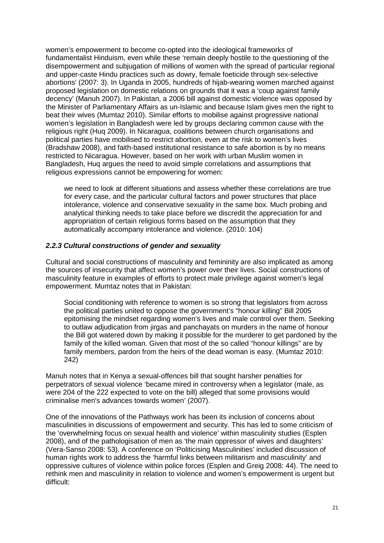women's empowerment to become co-opted into the ideological frameworks of fundamentalist Hinduism, even while these 'remain deeply hostile to the questioning of the disempowerment and subjugation of millions of women with the spread of particular regional and upper-caste Hindu practices such as dowry, female foeticide through sex-selective abortions' (2007: 3). In Uganda in 2005, hundreds of hijab-wearing women marched against proposed legislation on domestic relations on grounds that it was a 'coup against family decency' (Manuh 2007). In Pakistan, a 2006 bill against domestic violence was opposed by the Minister of Parliamentary Affairs as un-Islamic and because Islam gives men the right to beat their wives (Mumtaz 2010). Similar efforts to mobilise against progressive national women's legislation in Bangladesh were led by groups declaring common cause with the religious right (Huq 2009). In Nicaragua, coalitions between church organisations and political parties have mobilised to restrict abortion, even at the risk to women's lives (Bradshaw 2008), and faith-based institutional resistance to safe abortion is by no means restricted to Nicaragua. However, based on her work with urban Muslim women in Bangladesh, Huq argues the need to avoid simple correlations and assumptions that religious expressions cannot be empowering for women:

we need to look at different situations and assess whether these correlations are true for every case, and the particular cultural factors and power structures that place intolerance, violence and conservative sexuality in the same box. Much probing and analytical thinking needs to take place before we discredit the appreciation for and appropriation of certain religious forms based on the assumption that they automatically accompany intolerance and violence. (2010: 104)

#### *2.2.3 Cultural constructions of gender and sexuality*

Cultural and social constructions of masculinity and femininity are also implicated as among the sources of insecurity that affect women's power over their lives. Social constructions of masculinity feature in examples of efforts to protect male privilege against women's legal empowerment. Mumtaz notes that in Pakistan:

Social conditioning with reference to women is so strong that legislators from across the political parties united to oppose the government's "honour killing" Bill 2005 epitomising the mindset regarding women's lives and male control over them. Seeking to outlaw adjudication from jirgas and panchayats on murders in the name of honour the Bill got watered down by making it possible for the murderer to get pardoned by the family of the killed woman. Given that most of the so called "honour killings" are by family members, pardon from the heirs of the dead woman is easy. (Mumtaz 2010: 242)

Manuh notes that in Kenya a sexual-offences bill that sought harsher penalties for perpetrators of sexual violence 'became mired in controversy when a legislator (male, as were 204 of the 222 expected to vote on the bill) alleged that some provisions would criminalise men's advances towards women' (2007).

One of the innovations of the Pathways work has been its inclusion of concerns about masculinities in discussions of empowerment and security. This has led to some criticism of the 'overwhelming focus on sexual health and violence' within masculinity studies (Esplen 2008), and of the pathologisation of men as 'the main oppressor of wives and daughters' (Vera-Sanso 2008: 53). A conference on 'Politicising Masculinities' included discussion of human rights work to address the 'harmful links between militarism and masculinity' and oppressive cultures of violence within police forces (Esplen and Greig 2008: 44). The need to rethink men and masculinity in relation to violence and women's empowerment is urgent but difficult: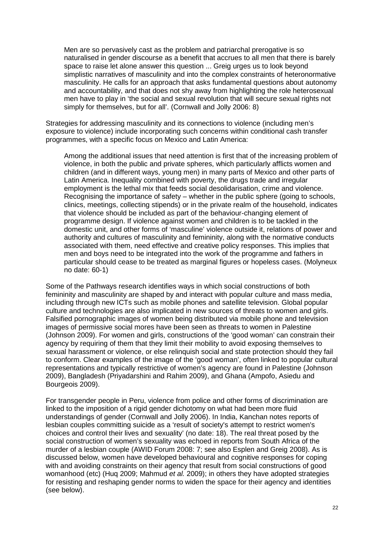Men are so pervasively cast as the problem and patriarchal prerogative is so naturalised in gender discourse as a benefit that accrues to all men that there is barely space to raise let alone answer this question ... Greig urges us to look beyond simplistic narratives of masculinity and into the complex constraints of heteronormative masculinity. He calls for an approach that asks fundamental questions about autonomy and accountability, and that does not shy away from highlighting the role heterosexual men have to play in 'the social and sexual revolution that will secure sexual rights not simply for themselves, but for all'. (Cornwall and Jolly 2006: 8)

Strategies for addressing masculinity and its connections to violence (including men's exposure to violence) include incorporating such concerns within conditional cash transfer programmes, with a specific focus on Mexico and Latin America:

Among the additional issues that need attention is first that of the increasing problem of violence, in both the public and private spheres, which particularly afflicts women and children (and in different ways, young men) in many parts of Mexico and other parts of Latin America. Inequality combined with poverty, the drugs trade and irregular employment is the lethal mix that feeds social desolidarisation, crime and violence. Recognising the importance of safety – whether in the public sphere (going to schools, clinics, meetings, collecting stipends) or in the private realm of the household, indicates that violence should be included as part of the behaviour-changing element of programme design. If violence against women and children is to be tackled in the domestic unit, and other forms of 'masculine' violence outside it, relations of power and authority and cultures of masculinity and femininity, along with the normative conducts associated with them, need effective and creative policy responses. This implies that men and boys need to be integrated into the work of the programme and fathers in particular should cease to be treated as marginal figures or hopeless cases. (Molyneux no date: 60-1)

Some of the Pathways research identifies ways in which social constructions of both femininity and masculinity are shaped by and interact with popular culture and mass media, including through new ICTs such as mobile phones and satellite television. Global popular culture and technologies are also implicated in new sources of threats to women and girls. Falsified pornographic images of women being distributed via mobile phone and television images of permissive social mores have been seen as threats to women in Palestine (Johnson 2009). For women and girls, constructions of the 'good woman' can constrain their agency by requiring of them that they limit their mobility to avoid exposing themselves to sexual harassment or violence, or else relinquish social and state protection should they fail to conform. Clear examples of the image of the 'good woman', often linked to popular cultural representations and typically restrictive of women's agency are found in Palestine (Johnson 2009), Bangladesh (Priyadarshini and Rahim 2009), and Ghana (Ampofo, Asiedu and Bourgeois 2009).

For transgender people in Peru, violence from police and other forms of discrimination are linked to the imposition of a rigid gender dichotomy on what had been more fluid understandings of gender (Cornwall and Jolly 2006). In India, Kanchan notes reports of lesbian couples committing suicide as a 'result of society's attempt to restrict women's choices and control their lives and sexuality' (no date: 18). The real threat posed by the social construction of women's sexuality was echoed in reports from South Africa of the murder of a lesbian couple (AWID Forum 2008: 7; see also Esplen and Greig 2008). As is discussed below, women have developed behavioural and cognitive responses for coping with and avoiding constraints on their agency that result from social constructions of good womanhood (etc) (Huq 2009; Mahmud *et al.* 2009); in others they have adopted strategies for resisting and reshaping gender norms to widen the space for their agency and identities (see below).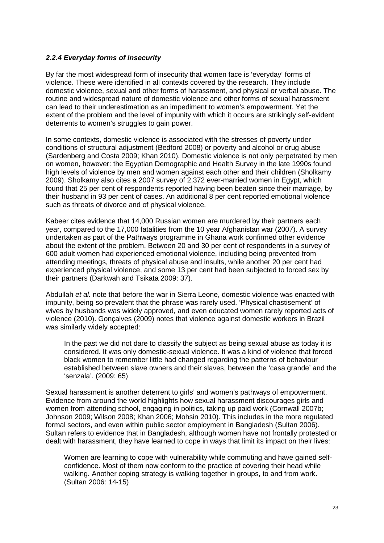#### *2.2.4 Everyday forms of insecurity*

By far the most widespread form of insecurity that women face is 'everyday' forms of violence. These were identified in all contexts covered by the research. They include domestic violence, sexual and other forms of harassment, and physical or verbal abuse. The routine and widespread nature of domestic violence and other forms of sexual harassment can lead to their underestimation as an impediment to women's empowerment. Yet the extent of the problem and the level of impunity with which it occurs are strikingly self-evident deterrents to women's struggles to gain power.

In some contexts, domestic violence is associated with the stresses of poverty under conditions of structural adjustment (Bedford 2008) or poverty and alcohol or drug abuse (Sardenberg and Costa 2009; Khan 2010). Domestic violence is not only perpetrated by men on women, however: the Egyptian Demographic and Health Survey in the late 1990s found high levels of violence by men and women against each other and their children (Sholkamy 2009). Sholkamy also cites a 2007 survey of 2,372 ever-married women in Egypt, which found that 25 per cent of respondents reported having been beaten since their marriage, by their husband in 93 per cent of cases. An additional 8 per cent reported emotional violence such as threats of divorce and of physical violence.

Kabeer cites evidence that 14,000 Russian women are murdered by their partners each year, compared to the 17,000 fatalities from the 10 year Afghanistan war (2007). A survey undertaken as part of the Pathways programme in Ghana work confirmed other evidence about the extent of the problem. Between 20 and 30 per cent of respondents in a survey of 600 adult women had experienced emotional violence, including being prevented from attending meetings, threats of physical abuse and insults, while another 20 per cent had experienced physical violence, and some 13 per cent had been subjected to forced sex by their partners (Darkwah and Tsikata 2009: 37).

Abdullah *et al.* note that before the war in Sierra Leone, domestic violence was enacted with impunity, being so prevalent that the phrase was rarely used. 'Physical chastisement' of wives by husbands was widely approved, and even educated women rarely reported acts of violence (2010). Gonçalves (2009) notes that violence against domestic workers in Brazil was similarly widely accepted:

In the past we did not dare to classify the subject as being sexual abuse as today it is considered. It was only domestic-sexual violence. It was a kind of violence that forced black women to remember little had changed regarding the patterns of behaviour established between slave owners and their slaves, between the 'casa grande' and the 'senzala'. (2009: 65)

Sexual harassment is another deterrent to girls' and women's pathways of empowerment. Evidence from around the world highlights how sexual harassment discourages girls and women from attending school, engaging in politics, taking up paid work (Cornwall 2007b; Johnson 2009; Wilson 2008; Khan 2006; Mohsin 2010). This includes in the more regulated formal sectors, and even within public sector employment in Bangladesh (Sultan 2006). Sultan refers to evidence that in Bangladesh, although women have not frontally protested or dealt with harassment, they have learned to cope in ways that limit its impact on their lives:

Women are learning to cope with vulnerability while commuting and have gained selfconfidence. Most of them now conform to the practice of covering their head while walking. Another coping strategy is walking together in groups, to and from work. (Sultan 2006: 14-15)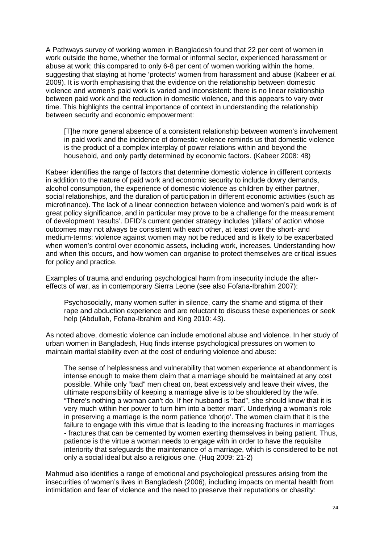A Pathways survey of working women in Bangladesh found that 22 per cent of women in work outside the home, whether the formal or informal sector, experienced harassment or abuse at work; this compared to only 6-8 per cent of women working within the home, suggesting that staying at home 'protects' women from harassment and abuse (Kabeer *et al.* 2009). It is worth emphasising that the evidence on the relationship between domestic violence and women's paid work is varied and inconsistent: there is no linear relationship between paid work and the reduction in domestic violence, and this appears to vary over time. This highlights the central importance of context in understanding the relationship between security and economic empowerment:

[T]he more general absence of a consistent relationship between women's involvement in paid work and the incidence of domestic violence reminds us that domestic violence is the product of a complex interplay of power relations within and beyond the household, and only partly determined by economic factors. (Kabeer 2008: 48)

Kabeer identifies the range of factors that determine domestic violence in different contexts in addition to the nature of paid work and economic security to include dowry demands, alcohol consumption, the experience of domestic violence as children by either partner, social relationships, and the duration of participation in different economic activities (such as microfinance). The lack of a linear connection between violence and women's paid work is of great policy significance, and in particular may prove to be a challenge for the measurement of development 'results'. DFID's current gender strategy includes 'pillars' of action whose outcomes may not always be consistent with each other, at least over the short- and medium-terms: violence against women may not be reduced and is likely to be exacerbated when women's control over economic assets, including work, increases. Understanding how and when this occurs, and how women can organise to protect themselves are critical issues for policy and practice.

Examples of trauma and enduring psychological harm from insecurity include the aftereffects of war, as in contemporary Sierra Leone (see also Fofana-Ibrahim 2007):

Psychosocially, many women suffer in silence, carry the shame and stigma of their rape and abduction experience and are reluctant to discuss these experiences or seek help (Abdullah, Fofana-Ibrahim and King 2010: 43).

As noted above, domestic violence can include emotional abuse and violence. In her study of urban women in Bangladesh, Huq finds intense psychological pressures on women to maintain marital stability even at the cost of enduring violence and abuse:

The sense of helplessness and vulnerability that women experience at abandonment is intense enough to make them claim that a marriage should be maintained at any cost possible. While only "bad" men cheat on, beat excessively and leave their wives, the ultimate responsibility of keeping a marriage alive is to be shouldered by the wife. "There's nothing a woman can't do. If her husband is "bad", she should know that it is very much within her power to turn him into a better man". Underlying a woman's role in preserving a marriage is the norm patience 'dhorjo'. The women claim that it is the failure to engage with this virtue that is leading to the increasing fractures in marriages - fractures that can be cemented by women exerting themselves in being patient. Thus, patience is the virtue a woman needs to engage with in order to have the requisite interiority that safeguards the maintenance of a marriage, which is considered to be not only a social ideal but also a religious one. (Huq 2009: 21-2)

Mahmud also identifies a range of emotional and psychological pressures arising from the insecurities of women's lives in Bangladesh (2006), including impacts on mental health from intimidation and fear of violence and the need to preserve their reputations or chastity: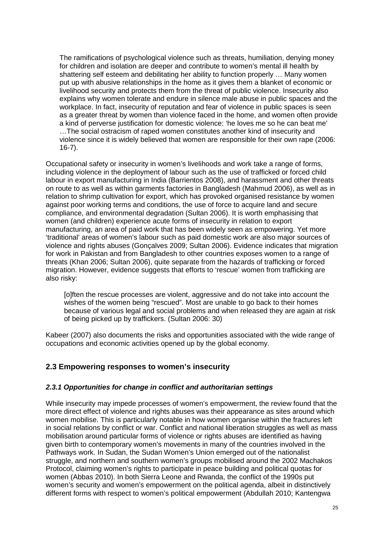The ramifications of psychological violence such as threats, humiliation, denying money for children and isolation are deeper and contribute to women's mental ill health by shattering self esteem and debilitating her ability to function properly … Many women put up with abusive relationships in the home as it gives them a blanket of economic or livelihood security and protects them from the threat of public violence. Insecurity also explains why women tolerate and endure in silence male abuse in public spaces and the workplace. In fact, insecurity of reputation and fear of violence in public spaces is seen as a greater threat by women than violence faced in the home, and women often provide a kind of perverse justification for domestic violence: 'he loves me so he can beat me' …The social ostracism of raped women constitutes another kind of insecurity and violence since it is widely believed that women are responsible for their own rape (2006: 16-7).

Occupational safety or insecurity in women's livelihoods and work take a range of forms, including violence in the deployment of labour such as the use of trafficked or forced child labour in export manufacturing in India (Barrientos 2008), and harassment and other threats on route to as well as within garments factories in Bangladesh (Mahmud 2006), as well as in relation to shrimp cultivation for export, which has provoked organised resistance by women against poor working terms and conditions, the use of force to acquire land and secure compliance, and environmental degradation (Sultan 2006). It is worth emphasising that women (and children) experience acute forms of insecurity in relation to export manufacturing, an area of paid work that has been widely seen as empowering. Yet more 'traditional' areas of women's labour such as paid domestic work are also major sources of violence and rights abuses (Gonçalves 2009; Sultan 2006). Evidence indicates that migration for work in Pakistan and from Bangladesh to other countries exposes women to a range of threats (Khan 2006; Sultan 2006), quite separate from the hazards of trafficking or forced migration. However, evidence suggests that efforts to 'rescue' women from trafficking are also risky:

[o]ften the rescue processes are violent, aggressive and do not take into account the wishes of the women being "rescued". Most are unable to go back to their homes because of various legal and social problems and when released they are again at risk of being picked up by traffickers. (Sultan 2006: 30)

Kabeer (2007) also documents the risks and opportunities associated with the wide range of occupations and economic activities opened up by the global economy.

### **2.3 Empowering responses to women's insecurity**

#### *2.3.1 Opportunities for change in conflict and authoritarian settings*

While insecurity may impede processes of women's empowerment, the review found that the more direct effect of violence and rights abuses was their appearance as sites around which women mobilise. This is particularly notable in how women organise within the fractures left in social relations by conflict or war. Conflict and national liberation struggles as well as mass mobilisation around particular forms of violence or rights abuses are identified as having given birth to contemporary women's movements in many of the countries involved in the Pathways work. In Sudan, the Sudan Women's Union emerged out of the nationalist struggle, and northern and southern women's groups mobilised around the 2002 Machakos Protocol, claiming women's rights to participate in peace building and political quotas for women (Abbas 2010). In both Sierra Leone and Rwanda, the conflict of the 1990s put women's security and women's empowerment on the political agenda, albeit in distinctively different forms with respect to women's political empowerment (Abdullah 2010; Kantengwa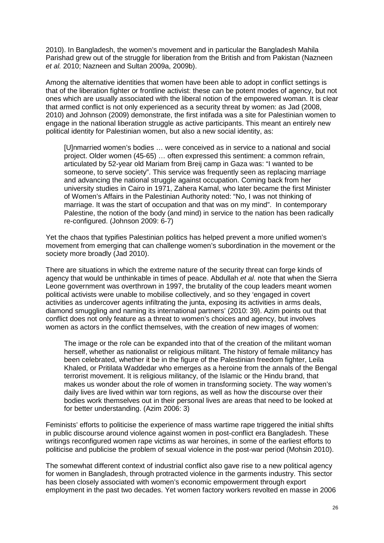2010). In Bangladesh, the women's movement and in particular the Bangladesh Mahila Parishad grew out of the struggle for liberation from the British and from Pakistan (Nazneen *et al.* 2010; Nazneen and Sultan 2009a, 2009b).

Among the alternative identities that women have been able to adopt in conflict settings is that of the liberation fighter or frontline activist: these can be potent modes of agency, but not ones which are usually associated with the liberal notion of the empowered woman. It is clear that armed conflict is not only experienced as a security threat by women: as Jad (2008, 2010) and Johnson (2009) demonstrate, the first intifada was a site for Palestinian women to engage in the national liberation struggle as active participants. This meant an entirely new political identity for Palestinian women, but also a new social identity, as:

[U]nmarried women's bodies … were conceived as in service to a national and social project. Older women (45-65) … often expressed this sentiment: a common refrain, articulated by 52-year old Mariam from Breij camp in Gaza was: "I wanted to be someone, to serve society". This service was frequently seen as replacing marriage and advancing the national struggle against occupation. Coming back from her university studies in Cairo in 1971, Zahera Kamal, who later became the first Minister of Women's Affairs in the Palestinian Authority noted: "No, I was not thinking of marriage. It was the start of occupation and that was on my mind". In contemporary Palestine, the notion of the body (and mind) in service to the nation has been radically re-configured. (Johnson 2009: 6-7)

Yet the chaos that typifies Palestinian politics has helped prevent a more unified women's movement from emerging that can challenge women's subordination in the movement or the society more broadly (Jad 2010).

There are situations in which the extreme nature of the security threat can forge kinds of agency that would be unthinkable in times of peace. Abdullah *et al.* note that when the Sierra Leone government was overthrown in 1997, the brutality of the coup leaders meant women political activists were unable to mobilise collectively, and so they 'engaged in covert activities as undercover agents infiltrating the junta, exposing its activities in arms deals, diamond smuggling and naming its international partners' (2010: 39). Azim points out that conflict does not only feature as a threat to women's choices and agency, but involves women as actors in the conflict themselves, with the creation of new images of women:

The image or the role can be expanded into that of the creation of the militant woman herself, whether as nationalist or religious militant. The history of female militancy has been celebrated, whether it be in the figure of the Palestinian freedom fighter, Leila Khaled, or Pritilata Waddedar who emerges as a heroine from the annals of the Bengal terrorist movement. It is religious militancy, of the Islamic or the Hindu brand, that makes us wonder about the role of women in transforming society. The way women's daily lives are lived within war torn regions, as well as how the discourse over their bodies work themselves out in their personal lives are areas that need to be looked at for better understanding. (Azim 2006: 3)

Feminists' efforts to politicise the experience of mass wartime rape triggered the initial shifts in public discourse around violence against women in post-conflict era Bangladesh. These writings reconfigured women rape victims as war heroines, in some of the earliest efforts to politicise and publicise the problem of sexual violence in the post-war period (Mohsin 2010).

The somewhat different context of industrial conflict also gave rise to a new political agency for women in Bangladesh, through protracted violence in the garments industry. This sector has been closely associated with women's economic empowerment through export employment in the past two decades. Yet women factory workers revolted en masse in 2006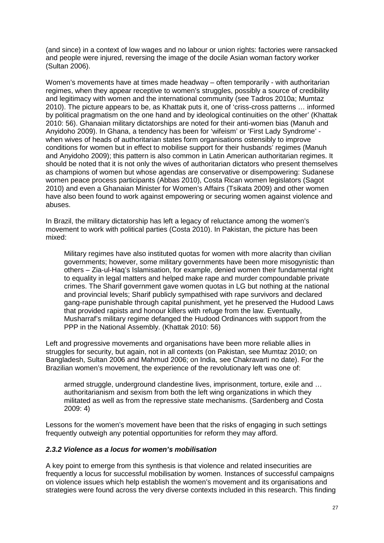(and since) in a context of low wages and no labour or union rights: factories were ransacked and people were injured, reversing the image of the docile Asian woman factory worker (Sultan 2006).

Women's movements have at times made headway – often temporarily - with authoritarian regimes, when they appear receptive to women's struggles, possibly a source of credibility and legitimacy with women and the international community (see Tadros 2010a; Mumtaz 2010). The picture appears to be, as Khattak puts it, one of 'criss-cross patterns … informed by political pragmatism on the one hand and by ideological continuities on the other' (Khattak 2010: 56). Ghanaian military dictatorships are noted for their anti-women bias (Manuh and Anyidoho 2009). In Ghana, a tendency has been for 'wifeism' or 'First Lady Syndrome' when wives of heads of authoritarian states form organisations ostensibly to improve conditions for women but in effect to mobilise support for their husbands' regimes (Manuh and Anyidoho 2009); this pattern is also common in Latin American authoritarian regimes. It should be noted that it is not only the wives of authoritarian dictators who present themselves as champions of women but whose agendas are conservative or disempowering: Sudanese women peace process participants (Abbas 2010), Costa Rican women legislators (Sagot 2010) and even a Ghanaian Minister for Women's Affairs (Tsikata 2009) and other women have also been found to work against empowering or securing women against violence and abuses.

In Brazil, the military dictatorship has left a legacy of reluctance among the women's movement to work with political parties (Costa 2010). In Pakistan, the picture has been mixed:

Military regimes have also instituted quotas for women with more alacrity than civilian governments; however, some military governments have been more misogynistic than others – Zia-ul-Haq's Islamisation, for example, denied women their fundamental right to equality in legal matters and helped make rape and murder compoundable private crimes. The Sharif government gave women quotas in LG but nothing at the national and provincial levels; Sharif publicly sympathised with rape survivors and declared gang-rape punishable through capital punishment, yet he preserved the Hudood Laws that provided rapists and honour killers with refuge from the law. Eventually, Musharraf's military regime defanged the Hudood Ordinances with support from the PPP in the National Assembly. (Khattak 2010: 56)

Left and progressive movements and organisations have been more reliable allies in struggles for security, but again, not in all contexts (on Pakistan, see Mumtaz 2010; on Bangladesh, Sultan 2006 and Mahmud 2006; on India, see Chakravarti no date). For the Brazilian women's movement, the experience of the revolutionary left was one of:

armed struggle, underground clandestine lives, imprisonment, torture, exile and … authoritarianism and sexism from both the left wing organizations in which they militated as well as from the repressive state mechanisms. (Sardenberg and Costa 2009: 4)

Lessons for the women's movement have been that the risks of engaging in such settings frequently outweigh any potential opportunities for reform they may afford.

#### *2.3.2 Violence as a locus for women's mobilisation*

A key point to emerge from this synthesis is that violence and related insecurities are frequently a locus for successful mobilisation by women. Instances of successful campaigns on violence issues which help establish the women's movement and its organisations and strategies were found across the very diverse contexts included in this research. This finding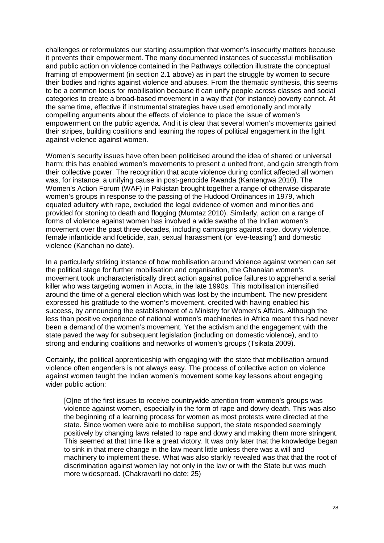challenges or reformulates our starting assumption that women's insecurity matters because it prevents their empowerment. The many documented instances of successful mobilisation and public action on violence contained in the Pathways collection illustrate the conceptual framing of empowerment (in section 2.1 above) as in part the struggle by women to secure their bodies and rights against violence and abuses. From the thematic synthesis, this seems to be a common locus for mobilisation because it can unify people across classes and social categories to create a broad-based movement in a way that (for instance) poverty cannot. At the same time, effective if instrumental strategies have used emotionally and morally compelling arguments about the effects of violence to place the issue of women's empowerment on the public agenda. And it is clear that several women's movements gained their stripes, building coalitions and learning the ropes of political engagement in the fight against violence against women.

Women's security issues have often been politicised around the idea of shared or universal harm; this has enabled women's movements to present a united front, and gain strength from their collective power. The recognition that acute violence during conflict affected all women was, for instance, a unifying cause in post-genocide Rwanda (Kantengwa 2010). The Women's Action Forum (WAF) in Pakistan brought together a range of otherwise disparate women's groups in response to the passing of the Hudood Ordinances in 1979, which equated adultery with rape, excluded the legal evidence of women and minorities and provided for stoning to death and flogging (Mumtaz 2010). Similarly, action on a range of forms of violence against women has involved a wide swathe of the Indian women's movement over the past three decades, including campaigns against rape, dowry violence, female infanticide and foeticide, *sati*, sexual harassment (or 'eve-teasing') and domestic violence (Kanchan no date).

In a particularly striking instance of how mobilisation around violence against women can set the political stage for further mobilisation and organisation, the Ghanaian women's movement took uncharacteristically direct action against police failures to apprehend a serial killer who was targeting women in Accra, in the late 1990s. This mobilisation intensified around the time of a general election which was lost by the incumbent. The new president expressed his gratitude to the women's movement, credited with having enabled his success, by announcing the establishment of a Ministry for Women's Affairs. Although the less than positive experience of national women's machineries in Africa meant this had never been a demand of the women's movement. Yet the activism and the engagement with the state paved the way for subsequent legislation (including on domestic violence), and to strong and enduring coalitions and networks of women's groups (Tsikata 2009).

Certainly, the political apprenticeship with engaging with the state that mobilisation around violence often engenders is not always easy. The process of collective action on violence against women taught the Indian women's movement some key lessons about engaging wider public action:

[O]ne of the first issues to receive countrywide attention from women's groups was violence against women, especially in the form of rape and dowry death. This was also the beginning of a learning process for women as most protests were directed at the state. Since women were able to mobilise support, the state responded seemingly positively by changing laws related to rape and dowry and making them more stringent. This seemed at that time like a great victory. It was only later that the knowledge began to sink in that mere change in the law meant little unless there was a will and machinery to implement these. What was also starkly revealed was that that the root of discrimination against women lay not only in the law or with the State but was much more widespread. (Chakravarti no date: 25)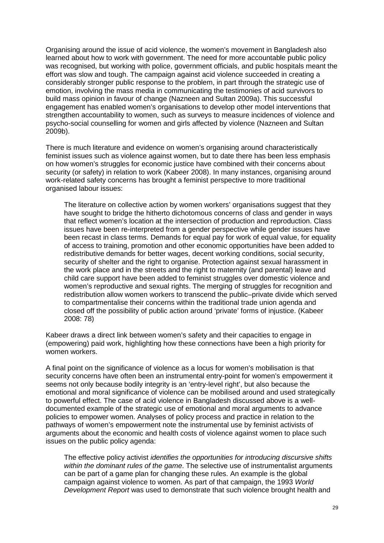Organising around the issue of acid violence, the women's movement in Bangladesh also learned about how to work with government. The need for more accountable public policy was recognised, but working with police, government officials, and public hospitals meant the effort was slow and tough. The campaign against acid violence succeeded in creating a considerably stronger public response to the problem, in part through the strategic use of emotion, involving the mass media in communicating the testimonies of acid survivors to build mass opinion in favour of change (Nazneen and Sultan 2009a). This successful engagement has enabled women's organisations to develop other model interventions that strengthen accountability to women, such as surveys to measure incidences of violence and psycho-social counselling for women and girls affected by violence (Nazneen and Sultan 2009b).

There is much literature and evidence on women's organising around characteristically feminist issues such as violence against women, but to date there has been less emphasis on how women's struggles for economic justice have combined with their concerns about security (or safety) in relation to work (Kabeer 2008). In many instances, organising around work-related safety concerns has brought a feminist perspective to more traditional organised labour issues:

The literature on collective action by women workers' organisations suggest that they have sought to bridge the hitherto dichotomous concerns of class and gender in ways that reflect women's location at the intersection of production and reproduction. Class issues have been re-interpreted from a gender perspective while gender issues have been recast in class terms. Demands for equal pay for work of equal value, for equality of access to training, promotion and other economic opportunities have been added to redistributive demands for better wages, decent working conditions, social security, security of shelter and the right to organise. Protection against sexual harassment in the work place and in the streets and the right to maternity (and parental) leave and child care support have been added to feminist struggles over domestic violence and women's reproductive and sexual rights. The merging of struggles for recognition and redistribution allow women workers to transcend the public–private divide which served to compartmentalise their concerns within the traditional trade union agenda and closed off the possibility of public action around 'private' forms of injustice. (Kabeer 2008: 78)

Kabeer draws a direct link between women's safety and their capacities to engage in (empowering) paid work, highlighting how these connections have been a high priority for women workers.

A final point on the significance of violence as a locus for women's mobilisation is that security concerns have often been an instrumental entry-point for women's empowerment it seems not only because bodily integrity is an 'entry-level right', but also because the emotional and moral significance of violence can be mobilised around and used strategically to powerful effect. The case of acid violence in Bangladesh discussed above is a welldocumented example of the strategic use of emotional and moral arguments to advance policies to empower women. Analyses of policy process and practice in relation to the pathways of women's empowerment note the instrumental use by feminist activists of arguments about the economic and health costs of violence against women to place such issues on the public policy agenda:

The effective policy activist *identifies the opportunities for introducing discursive shifts within the dominant rules of the game*. The selective use of instrumentalist arguments can be part of a game plan for changing these rules. An example is the global campaign against violence to women. As part of that campaign, the 1993 *World Development Report* was used to demonstrate that such violence brought health and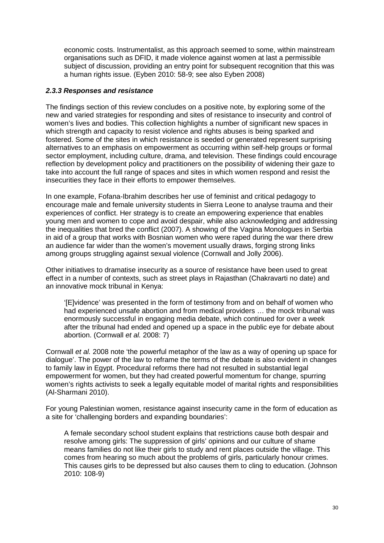economic costs. Instrumentalist, as this approach seemed to some, within mainstream organisations such as DFID, it made violence against women at last a permissible subject of discussion, providing an entry point for subsequent recognition that this was a human rights issue. (Eyben 2010: 58-9; see also Eyben 2008)

#### *2.3.3 Responses and resistance*

The findings section of this review concludes on a positive note, by exploring some of the new and varied strategies for responding and sites of resistance to insecurity and control of women's lives and bodies. This collection highlights a number of significant new spaces in which strength and capacity to resist violence and rights abuses is being sparked and fostered. Some of the sites in which resistance is seeded or generated represent surprising alternatives to an emphasis on empowerment as occurring within self-help groups or formal sector employment, including culture, drama, and television. These findings could encourage reflection by development policy and practitioners on the possibility of widening their gaze to take into account the full range of spaces and sites in which women respond and resist the insecurities they face in their efforts to empower themselves.

In one example, Fofana-Ibrahim describes her use of feminist and critical pedagogy to encourage male and female university students in Sierra Leone to analyse trauma and their experiences of conflict. Her strategy is to create an empowering experience that enables young men and women to cope and avoid despair, while also acknowledging and addressing the inequalities that bred the conflict (2007). A showing of the Vagina Monologues in Serbia in aid of a group that works with Bosnian women who were raped during the war there drew an audience far wider than the women's movement usually draws, forging strong links among groups struggling against sexual violence (Cornwall and Jolly 2006).

Other initiatives to dramatise insecurity as a source of resistance have been used to great effect in a number of contexts, such as street plays in Rajasthan (Chakravarti no date) and an innovative mock tribunal in Kenya:

'[E]vidence' was presented in the form of testimony from and on behalf of women who had experienced unsafe abortion and from medical providers … the mock tribunal was enormously successful in engaging media debate, which continued for over a week after the tribunal had ended and opened up a space in the public eye for debate about abortion. (Cornwall *et al.* 2008: 7)

Cornwall *et al.* 2008 note 'the powerful metaphor of the law as a way of opening up space for dialogue'. The power of the law to reframe the terms of the debate is also evident in changes to family law in Egypt. Procedural reforms there had not resulted in substantial legal empowerment for women, but they had created powerful momentum for change, spurring women's rights activists to seek a legally equitable model of marital rights and responsibilities (Al-Sharmani 2010).

For young Palestinian women, resistance against insecurity came in the form of education as a site for 'challenging borders and expanding boundaries':

A female secondary school student explains that restrictions cause both despair and resolve among girls: The suppression of girls' opinions and our culture of shame means families do not like their girls to study and rent places outside the village. This comes from hearing so much about the problems of girls, particularly honour crimes. This causes girls to be depressed but also causes them to cling to education. (Johnson 2010: 108-9)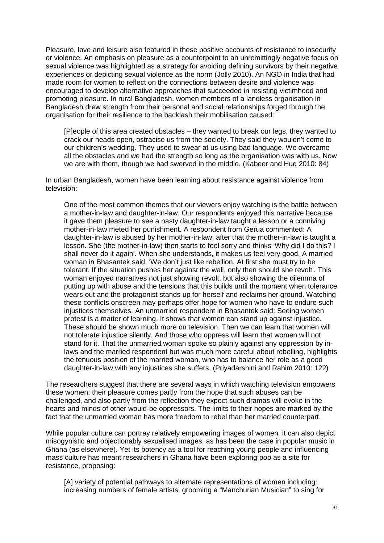Pleasure, love and leisure also featured in these positive accounts of resistance to insecurity or violence. An emphasis on pleasure as a counterpoint to an unremittingly negative focus on sexual violence was highlighted as a strategy for avoiding defining survivors by their negative experiences or depicting sexual violence as the norm (Jolly 2010). An NGO in India that had made room for women to reflect on the connections between desire and violence was encouraged to develop alternative approaches that succeeded in resisting victimhood and promoting pleasure. In rural Bangladesh, women members of a landless organisation in Bangladesh drew strength from their personal and social relationships forged through the organisation for their resilience to the backlash their mobilisation caused:

[P]eople of this area created obstacles – they wanted to break our legs, they wanted to crack our heads open, ostracise us from the society. They said they wouldn't come to our children's wedding. They used to swear at us using bad language. We overcame all the obstacles and we had the strength so long as the organisation was with us. Now we are with them, though we had swerved in the middle. (Kabeer and Huq 2010: 84)

In urban Bangladesh, women have been learning about resistance against violence from television:

One of the most common themes that our viewers enjoy watching is the battle between a mother-in-law and daughter-in-law. Our respondents enjoyed this narrative because it gave them pleasure to see a nasty daughter-in-law taught a lesson or a conniving mother-in-law meted her punishment. A respondent from Gerua commented: A daughter-in-law is abused by her mother-in-law; after that the mother-in-law is taught a lesson. She (the mother-in-law) then starts to feel sorry and thinks 'Why did I do this? I shall never do it again'. When she understands, it makes us feel very good. A married woman in Bhasantek said, 'We don't just like rebellion. At first she must try to be tolerant. If the situation pushes her against the wall, only then should she revolt'. This woman enjoyed narratives not just showing revolt, but also showing the dilemma of putting up with abuse and the tensions that this builds until the moment when tolerance wears out and the protagonist stands up for herself and reclaims her ground. Watching these conflicts onscreen may perhaps offer hope for women who have to endure such injustices themselves. An unmarried respondent in Bhasantek said: Seeing women protest is a matter of learning. It shows that women can stand up against injustice. These should be shown much more on television. Then we can learn that women will not tolerate injustice silently. And those who oppress will learn that women will not stand for it. That the unmarried woman spoke so plainly against any oppression by inlaws and the married respondent but was much more careful about rebelling, highlights the tenuous position of the married woman, who has to balance her role as a good daughter-in-law with any injustices she suffers. (Priyadarshini and Rahim 2010: 122)

The researchers suggest that there are several ways in which watching television empowers these women: their pleasure comes partly from the hope that such abuses can be challenged, and also partly from the reflection they expect such dramas will evoke in the hearts and minds of other would-be oppressors. The limits to their hopes are marked by the fact that the unmarried woman has more freedom to rebel than her married counterpart.

While popular culture can portray relatively empowering images of women, it can also depict misogynistic and objectionably sexualised images, as has been the case in popular music in Ghana (as elsewhere). Yet its potency as a tool for reaching young people and influencing mass culture has meant researchers in Ghana have been exploring pop as a site for resistance, proposing:

[A] variety of potential pathways to alternate representations of women including: increasing numbers of female artists, grooming a "Manchurian Musician" to sing for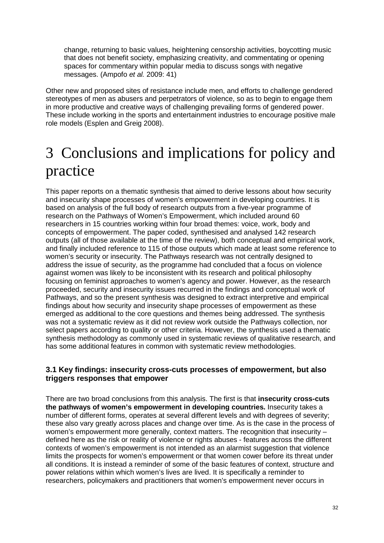change, returning to basic values, heightening censorship activities, boycotting music that does not benefit society, emphasizing creativity, and commentating or opening spaces for commentary within popular media to discuss songs with negative messages. (Ampofo *et al.* 2009: 41)

Other new and proposed sites of resistance include men, and efforts to challenge gendered stereotypes of men as abusers and perpetrators of violence, so as to begin to engage them in more productive and creative ways of challenging prevailing forms of gendered power. These include working in the sports and entertainment industries to encourage positive male role models (Esplen and Greig 2008).

## 3 Conclusions and implications for policy and practice

This paper reports on a thematic synthesis that aimed to derive lessons about how security and insecurity shape processes of women's empowerment in developing countries. It is based on analysis of the full body of research outputs from a five-year programme of research on the Pathways of Women's Empowerment, which included around 60 researchers in 15 countries working within four broad themes: voice, work, body and concepts of empowerment. The paper coded, synthesised and analysed 142 research outputs (all of those available at the time of the review), both conceptual and empirical work, and finally included reference to 115 of those outputs which made at least some reference to women's security or insecurity. The Pathways research was not centrally designed to address the issue of security, as the programme had concluded that a focus on violence against women was likely to be inconsistent with its research and political philosophy focusing on feminist approaches to women's agency and power. However, as the research proceeded, security and insecurity issues recurred in the findings and conceptual work of Pathways, and so the present synthesis was designed to extract interpretive and empirical findings about how security and insecurity shape processes of empowerment as these emerged as additional to the core questions and themes being addressed. The synthesis was not a systematic review as it did not review work outside the Pathways collection, nor select papers according to quality or other criteria. However, the synthesis used a thematic synthesis methodology as commonly used in systematic reviews of qualitative research, and has some additional features in common with systematic review methodologies.

#### **3.1 Key findings: insecurity cross-cuts processes of empowerment, but also triggers responses that empower**

There are two broad conclusions from this analysis. The first is that **insecurity cross-cuts the pathways of women's empowerment in developing countries.** Insecurity takes a number of different forms, operates at several different levels and with degrees of severity; these also vary greatly across places and change over time. As is the case in the process of women's empowerment more generally, context matters. The recognition that insecurity – defined here as the risk or reality of violence or rights abuses - features across the different contexts of women's empowerment is not intended as an alarmist suggestion that violence limits the prospects for women's empowerment or that women cower before its threat under all conditions. It is instead a reminder of some of the basic features of context, structure and power relations within which women's lives are lived. It is specifically a reminder to researchers, policymakers and practitioners that women's empowerment never occurs in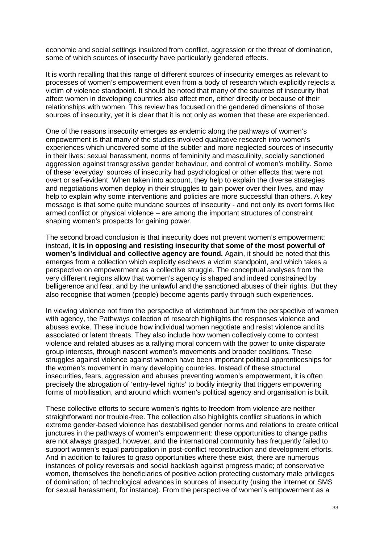economic and social settings insulated from conflict, aggression or the threat of domination, some of which sources of insecurity have particularly gendered effects.

It is worth recalling that this range of different sources of insecurity emerges as relevant to processes of women's empowerment even from a body of research which explicitly rejects a victim of violence standpoint. It should be noted that many of the sources of insecurity that affect women in developing countries also affect men, either directly or because of their relationships with women. This review has focused on the gendered dimensions of those sources of insecurity, yet it is clear that it is not only as women that these are experienced.

One of the reasons insecurity emerges as endemic along the pathways of women's empowerment is that many of the studies involved qualitative research into women's experiences which uncovered some of the subtler and more neglected sources of insecurity in their lives: sexual harassment, norms of femininity and masculinity, socially sanctioned aggression against transgressive gender behaviour, and control of women's mobility. Some of these 'everyday' sources of insecurity had psychological or other effects that were not overt or self-evident. When taken into account, they help to explain the diverse strategies and negotiations women deploy in their struggles to gain power over their lives, and may help to explain why some interventions and policies are more successful than others. A key message is that some quite mundane sources of insecurity - and not only its overt forms like armed conflict or physical violence – are among the important structures of constraint shaping women's prospects for gaining power.

The second broad conclusion is that insecurity does not prevent women's empowerment: instead, **it is in opposing and resisting insecurity that some of the most powerful of women's individual and collective agency are found.** Again, it should be noted that this emerges from a collection which explicitly eschews a victim standpoint, and which takes a perspective on empowerment as a collective struggle. The conceptual analyses from the very different regions allow that women's agency is shaped and indeed constrained by belligerence and fear, and by the unlawful and the sanctioned abuses of their rights. But they also recognise that women (people) become agents partly through such experiences.

In viewing violence not from the perspective of victimhood but from the perspective of women with agency, the Pathways collection of research highlights the responses violence and abuses evoke. These include how individual women negotiate and resist violence and its associated or latent threats. They also include how women collectively come to contest violence and related abuses as a rallying moral concern with the power to unite disparate group interests, through nascent women's movements and broader coalitions. These struggles against violence against women have been important political apprenticeships for the women's movement in many developing countries. Instead of these structural insecurities, fears, aggression and abuses preventing women's empowerment, it is often precisely the abrogation of 'entry-level rights' to bodily integrity that triggers empowering forms of mobilisation, and around which women's political agency and organisation is built.

These collective efforts to secure women's rights to freedom from violence are neither straightforward nor trouble-free. The collection also highlights conflict situations in which extreme gender-based violence has destabilised gender norms and relations to create critical junctures in the pathways of women's empowerment: these opportunities to change paths are not always grasped, however, and the international community has frequently failed to support women's equal participation in post-conflict reconstruction and development efforts. And in addition to failures to grasp opportunities where these exist, there are numerous instances of policy reversals and social backlash against progress made; of conservative women, themselves the beneficiaries of positive action protecting customary male privileges of domination; of technological advances in sources of insecurity (using the internet or SMS for sexual harassment, for instance). From the perspective of women's empowerment as a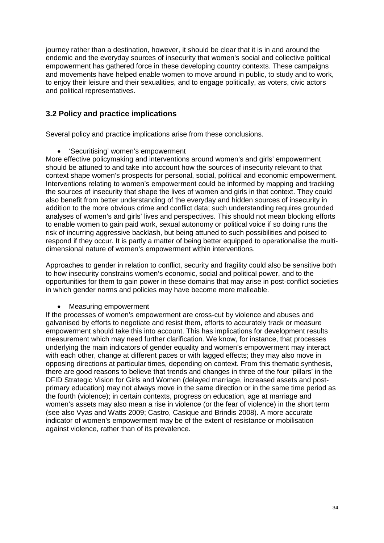journey rather than a destination, however, it should be clear that it is in and around the endemic and the everyday sources of insecurity that women's social and collective political empowerment has gathered force in these developing country contexts. These campaigns and movements have helped enable women to move around in public, to study and to work, to enjoy their leisure and their sexualities, and to engage politically, as voters, civic actors and political representatives.

### **3.2 Policy and practice implications**

Several policy and practice implications arise from these conclusions.

• 'Securitising' women's empowerment

More effective policymaking and interventions around women's and girls' empowerment should be attuned to and take into account how the sources of insecurity relevant to that context shape women's prospects for personal, social, political and economic empowerment. Interventions relating to women's empowerment could be informed by mapping and tracking the sources of insecurity that shape the lives of women and girls in that context. They could also benefit from better understanding of the everyday and hidden sources of insecurity in addition to the more obvious crime and conflict data; such understanding requires grounded analyses of women's and girls' lives and perspectives. This should not mean blocking efforts to enable women to gain paid work, sexual autonomy or political voice if so doing runs the risk of incurring aggressive backlash, but being attuned to such possibilities and poised to respond if they occur. It is partly a matter of being better equipped to operationalise the multidimensional nature of women's empowerment within interventions.

Approaches to gender in relation to conflict, security and fragility could also be sensitive both to how insecurity constrains women's economic, social and political power, and to the opportunities for them to gain power in these domains that may arise in post-conflict societies in which gender norms and policies may have become more malleable.

#### • Measuring empowerment

If the processes of women's empowerment are cross-cut by violence and abuses and galvanised by efforts to negotiate and resist them, efforts to accurately track or measure empowerment should take this into account. This has implications for development results measurement which may need further clarification. We know, for instance, that processes underlying the main indicators of gender equality and women's empowerment may interact with each other, change at different paces or with lagged effects; they may also move in opposing directions at particular times, depending on context. From this thematic synthesis, there are good reasons to believe that trends and changes in three of the four 'pillars' in the DFID Strategic Vision for Girls and Women (delayed marriage, increased assets and postprimary education) may not always move in the same direction or in the same time period as the fourth (violence); in certain contexts, progress on education, age at marriage and women's assets may also mean a rise in violence (or the fear of violence) in the short term (see also Vyas and Watts 2009; Castro, Casique and Brindis 2008). A more accurate indicator of women's empowerment may be of the extent of resistance or mobilisation against violence, rather than of its prevalence.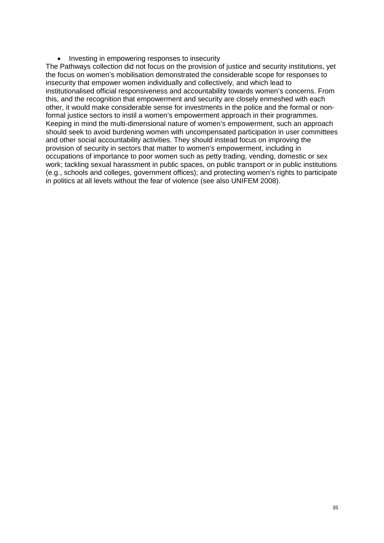Investing in empowering responses to insecurity

The Pathways collection did not focus on the provision of justice and security institutions, yet the focus on women's mobilisation demonstrated the considerable scope for responses to insecurity that empower women individually and collectively, and which lead to institutionalised official responsiveness and accountability towards women's concerns. From this, and the recognition that empowerment and security are closely enmeshed with each other, it would make considerable sense for investments in the police and the formal or nonformal justice sectors to instil a women's empowerment approach in their programmes. Keeping in mind the multi-dimensional nature of women's empowerment, such an approach should seek to avoid burdening women with uncompensated participation in user committees and other social accountability activities. They should instead focus on improving the provision of security in sectors that matter to women's empowerment, including in occupations of importance to poor women such as petty trading, vending, domestic or sex work; tackling sexual harassment in public spaces, on public transport or in public institutions (e.g., schools and colleges, government offices); and protecting women's rights to participate in politics at all levels without the fear of violence (see also UNIFEM 2008).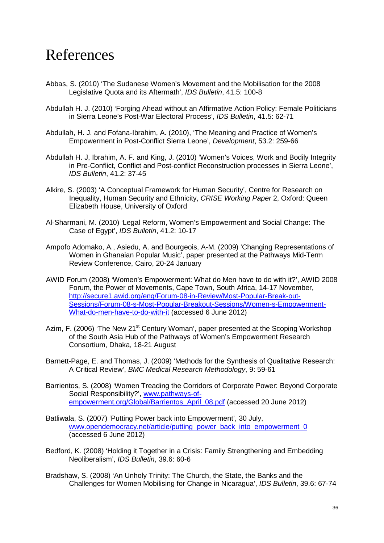## References

- Abbas, S. (2010) 'The Sudanese Women's Movement and the Mobilisation for the 2008 Legislative Quota and its Aftermath', *IDS Bulletin*, 41.5: 100-8
- Abdullah H. J. (2010) 'Forging Ahead without an Affirmative Action Policy: Female Politicians in Sierra Leone's Post-War Electoral Process', *IDS Bulletin*, 41.5: 62-71
- Abdullah, H. J. and Fofana-Ibrahim, A. (2010), 'The Meaning and Practice of Women's Empowerment in Post-Conflict Sierra Leone', *Development*, 53.2: 259-66
- Abdullah H. J, Ibrahim, A. F. and King, J. (2010) 'Women's Voices, Work and Bodily Integrity in Pre-Conflict, Conflict and Post-conflict Reconstruction processes in Sierra Leone', *IDS Bulletin*, 41.2: 37-45
- Alkire, S. (2003) 'A Conceptual Framework for Human Security', Centre for Research on Inequality, Human Security and Ethnicity, *CRISE Working Paper* 2, Oxford: Queen Elizabeth House, University of Oxford
- Al-Sharmani, M. (2010) 'Legal Reform, Women's Empowerment and Social Change: The Case of Egypt', *IDS Bulletin*, 41.2: 10-17
- Ampofo Adomako, A., Asiedu, A. and Bourgeois, A-M. (2009) 'Changing Representations of Women in Ghanaian Popular Music', paper presented at the Pathways Mid-Term Review Conference, Cairo, 20-24 January
- AWID Forum (2008) 'Women's Empowerment: What do Men have to do with it?', AWID 2008 Forum, the Power of Movements, Cape Town, South Africa, 14-17 November, [http://secure1.awid.org/eng/Forum-08-in-Review/Most-Popular-Break-out-](http://secure1.awid.org/eng/Forum-08-in-Review/Most-Popular-Break-out-Sessions/Forum-08-s-Most-Popular-Breakout-Sessions/Women-s-Empowerment-What-do-men-have-to-do-with-it)[Sessions/Forum-08-s-Most-Popular-Breakout-Sessions/Women-s-Empowerment-](http://secure1.awid.org/eng/Forum-08-in-Review/Most-Popular-Break-out-Sessions/Forum-08-s-Most-Popular-Breakout-Sessions/Women-s-Empowerment-What-do-men-have-to-do-with-it)[What-do-men-have-to-do-with-it](http://secure1.awid.org/eng/Forum-08-in-Review/Most-Popular-Break-out-Sessions/Forum-08-s-Most-Popular-Breakout-Sessions/Women-s-Empowerment-What-do-men-have-to-do-with-it) (accessed 6 June 2012)
- Azim, F. (2006) 'The New 21<sup>st</sup> Century Woman', paper presented at the Scoping Workshop of the South Asia Hub of the Pathways of Women's Empowerment Research Consortium, Dhaka, 18-21 August
- Barnett-Page, E. and Thomas, J. (2009) 'Methods for the Synthesis of Qualitative Research: A Critical Review', *BMC Medical Research Methodology*, 9: 59-61
- Barrientos, S. (2008) 'Women Treading the Corridors of Corporate Power: Beyond Corporate Social Responsibility?', [www.pathways-of](http://www.pathways-of-empowerment.org/Global/Barrientos_April_08.pdf)[empowerment.org/Global/Barrientos\\_April\\_08.pdf](http://www.pathways-of-empowerment.org/Global/Barrientos_April_08.pdf) (accessed 20 June 2012)
- Batliwala, S. (2007) 'Putting Power back into Empowerment', 30 July, [www.opendemocracy.net/article/putting\\_power\\_back\\_into\\_empowerment\\_0](http://www.opendemocracy.net/article/putting_power_back_into_empowerment_0) (accessed 6 June 2012)
- Bedford, K. (2008) 'Holding it Together in a Crisis: Family Strengthening and Embedding Neoliberalism', *IDS Bulletin*, 39.6: 60-6
- Bradshaw, S. (2008) 'An Unholy Trinity: The Church, the State, the Banks and the Challenges for Women Mobilising for Change in Nicaragua', *IDS Bulletin*, 39.6: 67-74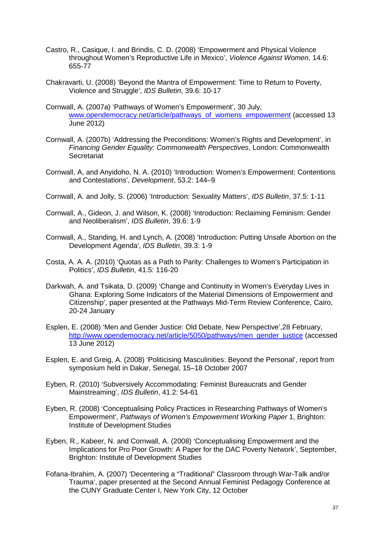- Castro, R., Casique, I. and Brindis, C. D. (2008) 'Empowerment and Physical Violence throughout Women's Reproductive Life in Mexico', *Violence Against Women*, 14.6: 655-77
- Chakravarti, U. (2008) 'Beyond the Mantra of Empowerment: Time to Return to Poverty, Violence and Struggle', *IDS Bulletin*, 39.6: 10-17
- Cornwall, A. (2007a) 'Pathways of Women's Empowerment', 30 July, [www.opendemocracy.net/article/pathways\\_of\\_womens\\_empowerment](http://www.opendemocracy.net/article/pathways_of_womens_empowerment) (accessed 13 June 2012)
- Cornwall, A. (2007b) 'Addressing the Preconditions: Women's Rights and Development', in *Financing Gender Equality: Commonwealth Perspectives*, London: Commonwealth **Secretariat**
- Cornwall, A, and Anyidoho, N. A. (2010) 'Introduction: Women's Empowerment: Contentions and Contestations', *Development*, 53.2: 144–9
- Cornwall, A. and Jolly, S. (2006) 'Introduction: Sexuality Matters', *IDS Bulletin*, 37.5: 1-11
- Cornwall, A., Gideon, J. and Wilson, K. (2008) 'Introduction: Reclaiming Feminism: Gender and Neoliberalism', *IDS Bulletin*, 39.6: 1-9
- Cornwall, A., Standing, H. and Lynch, A. (2008) 'Introduction: Putting Unsafe Abortion on the Development Agenda', *IDS Bulletin*, 39.3: 1-9
- Costa, A. A. A. (2010) 'Quotas as a Path to Parity: Challenges to Women's Participation in Politics', *IDS Bulletin*, 41.5: 116-20
- Darkwah, A. and Tsikata, D. (2009) 'Change and Continuity in Women's Everyday Lives in Ghana: Exploring Some Indicators of the Material Dimensions of Empowerment and Citizenship', paper presented at the Pathways Mid-Term Review Conference, Cairo, 20-24 January
- Esplen, E. (2008) 'Men and Gender Justice: Old Debate, New Perspective',28 February, [http://www.opendemocracy.net/article/5050/pathways/men\\_gender\\_justice](http://www.opendemocracy.net/article/5050/pathways/men_gender_justice) (accessed 13 June 2012)
- Esplen, E. and Greig, A. (2008) 'Politicising Masculinities: Beyond the Personal', report from symposium held in Dakar, Senegal, 15–18 October 2007
- Eyben, R. (2010) 'Subversively Accommodating: Feminist Bureaucrats and Gender Mainstreaming', *IDS Bulletin*, 41.2: 54-61
- Eyben, R. (2008) 'Conceptualising Policy Practices in Researching Pathways of Women's Empowerment', *Pathways of Women's Empowerment Working Paper* 1, Brighton: Institute of Development Studies
- Eyben, R., Kabeer, N. and Cornwall, A. (2008) 'Conceptualising Empowerment and the Implications for Pro Poor Growth: A Paper for the DAC Poverty Network', September, Brighton: Institute of Development Studies
- Fofana-Ibrahim, A. (2007) 'Decentering a "Traditional" Classroom through War-Talk and/or Trauma', paper presented at the Second Annual Feminist Pedagogy Conference at the CUNY Graduate Center I, New York City, 12 October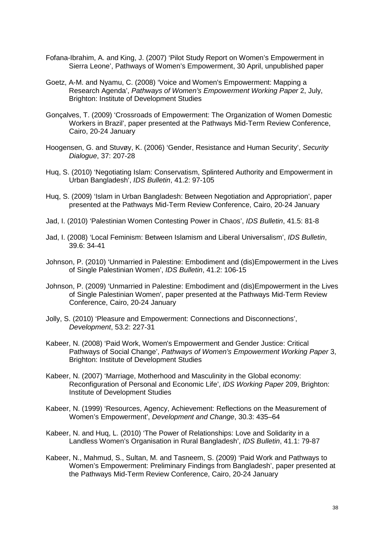- Fofana-Ibrahim, A. and King, J. (2007) 'Pilot Study Report on Women's Empowerment in Sierra Leone', Pathways of Women's Empowerment, 30 April, unpublished paper
- Goetz, A-M. and Nyamu, C. (2008) 'Voice and Women's Empowerment: Mapping a Research Agenda', *Pathways of Women's Empowerment Working Paper* 2, July, Brighton: Institute of Development Studies
- Gonçalves, T. (2009) 'Crossroads of Empowerment: The Organization of Women Domestic Workers in Brazil', paper presented at the Pathways Mid-Term Review Conference, Cairo, 20-24 January
- Hoogensen, G. and Stuvøy, K. (2006) 'Gender, Resistance and Human Security', *Security Dialogue*, 37: 207-28
- Huq, S. (2010) 'Negotiating Islam: Conservatism, Splintered Authority and Empowerment in Urban Bangladesh', *IDS Bulletin*, 41.2: 97-105
- Huq, S. (2009) 'Islam in Urban Bangladesh: Between Negotiation and Appropriation', paper presented at the Pathways Mid-Term Review Conference, Cairo, 20-24 January
- Jad, I. (2010) 'Palestinian Women Contesting Power in Chaos', *IDS Bulletin*, 41.5: 81-8
- Jad, I. (2008) 'Local Feminism: Between Islamism and Liberal Universalism', *IDS Bulletin*, 39.6: 34-41
- Johnson, P. (2010) 'Unmarried in Palestine: Embodiment and (dis)Empowerment in the Lives of Single Palestinian Women', *IDS Bulletin*, 41.2: 106-15
- Johnson, P. (2009) 'Unmarried in Palestine: Embodiment and (dis)Empowerment in the Lives of Single Palestinian Women', paper presented at the Pathways Mid-Term Review Conference, Cairo, 20-24 January
- Jolly, S. (2010) 'Pleasure and Empowerment: Connections and Disconnections', *Development*, 53.2: 227-31
- Kabeer, N. (2008) 'Paid Work, Women's Empowerment and Gender Justice: Critical Pathways of Social Change', *Pathways of Women's Empowerment Working Paper* 3, Brighton: Institute of Development Studies
- Kabeer, N. (2007) 'Marriage, Motherhood and Masculinity in the Global economy: Reconfiguration of Personal and Economic Life', *IDS Working Paper* 209, Brighton: Institute of Development Studies
- Kabeer, N. (1999) 'Resources, Agency, Achievement: Reflections on the Measurement of Women's Empowerment', *Development and Change*, 30.3: 435–64
- Kabeer, N. and Huq, L. (2010) 'The Power of Relationships: Love and Solidarity in a Landless Women's Organisation in Rural Bangladesh', *IDS Bulletin*, 41.1: 79-87
- Kabeer, N., Mahmud, S., Sultan, M. and Tasneem, S. (2009) 'Paid Work and Pathways to Women's Empowerment: Preliminary Findings from Bangladesh', paper presented at the Pathways Mid-Term Review Conference, Cairo, 20-24 January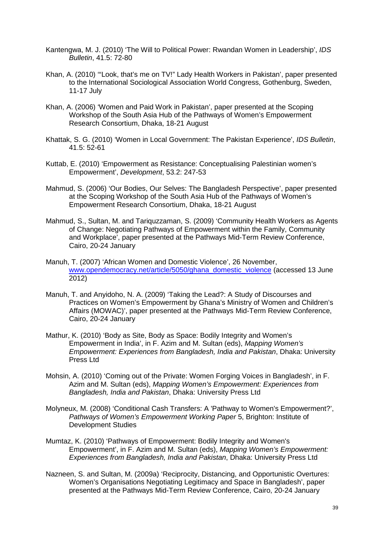- Kantengwa, M. J. (2010) 'The Will to Political Power: Rwandan Women in Leadership', *IDS Bulletin*, 41.5: 72-80
- Khan, A. (2010) '"Look, that's me on TV!" Lady Health Workers in Pakistan', paper presented to the International Sociological Association World Congress, Gothenburg, Sweden, 11-17 July
- Khan, A. (2006) 'Women and Paid Work in Pakistan', paper presented at the Scoping Workshop of the South Asia Hub of the Pathways of Women's Empowerment Research Consortium, Dhaka, 18-21 August
- Khattak, S. G. (2010) 'Women in Local Government: The Pakistan Experience', *IDS Bulletin*, 41.5: 52-61
- Kuttab, E. (2010) 'Empowerment as Resistance: Conceptualising Palestinian women's Empowerment', *Development*, 53.2: 247-53
- Mahmud, S. (2006) 'Our Bodies, Our Selves: The Bangladesh Perspective', paper presented at the Scoping Workshop of the South Asia Hub of the Pathways of Women's Empowerment Research Consortium, Dhaka, 18-21 August
- Mahmud, S., Sultan, M. and Tariquzzaman, S. (2009) 'Community Health Workers as Agents of Change: Negotiating Pathways of Empowerment within the Family, Community and Workplace', paper presented at the Pathways Mid-Term Review Conference, Cairo, 20-24 January
- Manuh, T. (2007) 'African Women and Domestic Violence', 26 November, [www.opendemocracy.net/article/5050/ghana\\_domestic\\_violence](http://www.opendemocracy.net/article/5050/ghana_domestic_violence) (accessed 13 June 2012)
- Manuh, T. and Anyidoho, N. A. (2009) 'Taking the Lead?: A Study of Discourses and Practices on Women's Empowerment by Ghana's Ministry of Women and Children's Affairs (MOWAC)', paper presented at the Pathways Mid-Term Review Conference, Cairo, 20-24 January
- Mathur, K. (2010) 'Body as Site, Body as Space: Bodily Integrity and Women's Empowerment in India', in F. Azim and M. Sultan (eds), *Mapping Women's Empowerment: Experiences from Bangladesh, India and Pakistan*, Dhaka: University Press Ltd
- Mohsin, A. (2010) 'Coming out of the Private: Women Forging Voices in Bangladesh', in F. Azim and M. Sultan (eds), *Mapping Women's Empowerment: Experiences from Bangladesh, India and Pakistan*, Dhaka: University Press Ltd
- Molyneux, M. (2008) 'Conditional Cash Transfers: A 'Pathway to Women's Empowerment?', *Pathways of Women's Empowerment Working Paper* 5, Brighton: Institute of Development Studies
- Mumtaz, K. (2010) 'Pathways of Empowerment: Bodily Integrity and Women's Empowerment', in F. Azim and M. Sultan (eds), *Mapping Women's Empowerment: Experiences from Bangladesh, India and Pakistan*, Dhaka: University Press Ltd
- Nazneen, S. and Sultan, M. (2009a) 'Reciprocity, Distancing, and Opportunistic Overtures: Women's Organisations Negotiating Legitimacy and Space in Bangladesh', paper presented at the Pathways Mid-Term Review Conference, Cairo, 20-24 January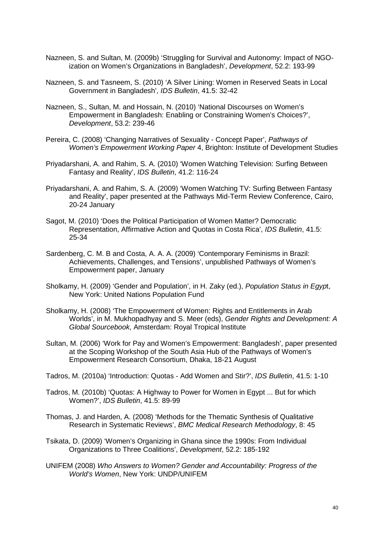- Nazneen, S. and Sultan, M. (2009b) 'Struggling for Survival and Autonomy: Impact of NGOization on Women's Organizations in Bangladesh', *Development*, 52.2: 193-99
- Nazneen, S. and Tasneem, S. (2010) 'A Silver Lining: Women in Reserved Seats in Local Government in Bangladesh', *IDS Bulletin*, 41.5: 32-42
- Nazneen, S., Sultan, M. and Hossain, N. (2010) 'National Discourses on Women's Empowerment in Bangladesh: Enabling or Constraining Women's Choices?', *Development*, 53.2: 239-46
- Pereira, C. (2008) 'Changing Narratives of Sexuality Concept Paper', *Pathways of Women's Empowerment Working Paper* 4, Brighton: Institute of Development Studies
- Priyadarshani, A. and Rahim, S. A. (2010) 'Women Watching Television: Surfing Between Fantasy and Reality', *IDS Bulletin*, 41.2: 116-24
- Priyadarshani, A. and Rahim, S. A. (2009) 'Women Watching TV: Surfing Between Fantasy and Reality', paper presented at the Pathways Mid-Term Review Conference, Cairo, 20-24 January
- Sagot, M. (2010) 'Does the Political Participation of Women Matter? Democratic Representation, Affirmative Action and Quotas in Costa Rica', *IDS Bulletin*, 41.5: 25-34
- Sardenberg, C. M. B and Costa, A. A. A. (2009) 'Contemporary Feminisms in Brazil: Achievements, Challenges, and Tensions', unpublished Pathways of Women's Empowerment paper, January
- Sholkamy, H. (2009) 'Gender and Population', in H. Zaky (ed.), *Population Status in Egyp*t, New York: United Nations Population Fund
- Sholkamy, H. (2008) 'The Empowerment of Women: Rights and Entitlements in Arab Worlds', in M. Mukhopadhyay and S. Meer (eds), *Gender Rights and Development: A Global Sourcebook*, Amsterdam: Royal Tropical Institute
- Sultan, M. (2006) 'Work for Pay and Women's Empowerment: Bangladesh', paper presented at the Scoping Workshop of the South Asia Hub of the Pathways of Women's Empowerment Research Consortium, Dhaka, 18-21 August
- Tadros, M. (2010a) 'Introduction: Quotas Add Women and Stir?', *IDS Bulletin*, 41.5: 1-10
- Tadros, M. (2010b) 'Quotas: A Highway to Power for Women in Egypt ... But for which Women?', *IDS Bulletin*, 41.5: 89-99
- Thomas, J. and Harden, A. (2008) 'Methods for the Thematic Synthesis of Qualitative Research in Systematic Reviews', *BMC Medical Research Methodology*, 8: 45
- Tsikata, D. (2009) 'Women's Organizing in Ghana since the 1990s: From Individual Organizations to Three Coalitions', *Development*, 52.2: 185-192
- UNIFEM (2008) *Who Answers to Women? Gender and Accountability: Progress of the World's Women*, New York: UNDP/UNIFEM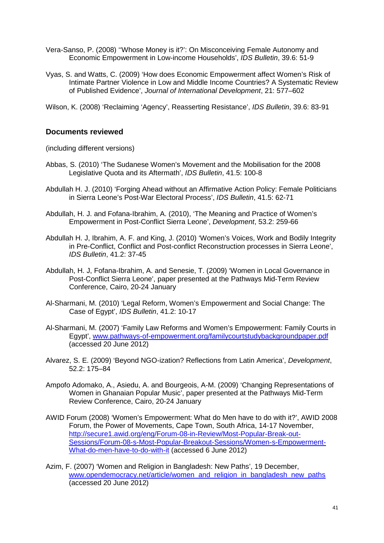- Vera-Sanso, P. (2008) ''Whose Money is it?': On Misconceiving Female Autonomy and Economic Empowerment in Low-income Households', *IDS Bulletin*, 39.6: 51-9
- Vyas, S. and Watts, C. (2009) 'How does Economic Empowerment affect Women's Risk of Intimate Partner Violence in Low and Middle Income Countries? A Systematic Review of Published Evidence', *Journal of International Development*, 21: 577–602

Wilson, K. (2008) 'Reclaiming 'Agency', Reasserting Resistance', *IDS Bulletin*, 39.6: 83-91

#### **Documents reviewed**

(including different versions)

- Abbas, S. (2010) 'The Sudanese Women's Movement and the Mobilisation for the 2008 Legislative Quota and its Aftermath', *IDS Bulletin*, 41.5: 100-8
- Abdullah H. J. (2010) 'Forging Ahead without an Affirmative Action Policy: Female Politicians in Sierra Leone's Post-War Electoral Process', *IDS Bulletin*, 41.5: 62-71
- Abdullah, H. J. and Fofana-Ibrahim, A. (2010), 'The Meaning and Practice of Women's Empowerment in Post-Conflict Sierra Leone', *Development*, 53.2: 259-66
- Abdullah H. J, Ibrahim, A. F. and King, J. (2010) 'Women's Voices, Work and Bodily Integrity in Pre-Conflict, Conflict and Post-conflict Reconstruction processes in Sierra Leone', *IDS Bulletin*, 41.2: 37-45
- Abdullah, H. J, Fofana-Ibrahim, A. and Senesie, T. (2009) 'Women in Local Governance in Post-Conflict Sierra Leone', paper presented at the Pathways Mid-Term Review Conference, Cairo, 20-24 January
- Al-Sharmani, M. (2010) 'Legal Reform, Women's Empowerment and Social Change: The Case of Egypt', *IDS Bulletin*, 41.2: 10-17
- Al-Sharmani, M. (2007) 'Family Law Reforms and Women's Empowerment: Family Courts in Egypt', [www.pathways-of-empowerment.org/familycourtstudybackgroundpaper.pdf](http://www.pathways-of-empowerment.org/familycourtstudybackgroundpaper.pdf) (accessed 20 June 2012)
- Alvarez, S. E. (2009) 'Beyond NGO-ization? Reflections from Latin America', *Development*, 52.2: 175–84
- Ampofo Adomako, A., Asiedu, A. and Bourgeois, A-M. (2009) 'Changing Representations of Women in Ghanaian Popular Music', paper presented at the Pathways Mid-Term Review Conference, Cairo, 20-24 January
- AWID Forum (2008) 'Women's Empowerment: What do Men have to do with it?', AWID 2008 Forum, the Power of Movements, Cape Town, South Africa, 14-17 November, [http://secure1.awid.org/eng/Forum-08-in-Review/Most-Popular-Break-out-](http://secure1.awid.org/eng/Forum-08-in-Review/Most-Popular-Break-out-Sessions/Forum-08-s-Most-Popular-Breakout-Sessions/Women-s-Empowerment-What-do-men-have-to-do-with-it)[Sessions/Forum-08-s-Most-Popular-Breakout-Sessions/Women-s-Empowerment-](http://secure1.awid.org/eng/Forum-08-in-Review/Most-Popular-Break-out-Sessions/Forum-08-s-Most-Popular-Breakout-Sessions/Women-s-Empowerment-What-do-men-have-to-do-with-it)[What-do-men-have-to-do-with-it](http://secure1.awid.org/eng/Forum-08-in-Review/Most-Popular-Break-out-Sessions/Forum-08-s-Most-Popular-Breakout-Sessions/Women-s-Empowerment-What-do-men-have-to-do-with-it) (accessed 6 June 2012)
- Azim, F. (2007) 'Women and Religion in Bangladesh: New Paths', 19 December, [www.opendemocracy.net/article/women\\_and\\_religion\\_in\\_bangladesh\\_new\\_paths](http://www.opendemocracy.net/article/women_and_religion_in_bangladesh_new_paths) (accessed 20 June 2012)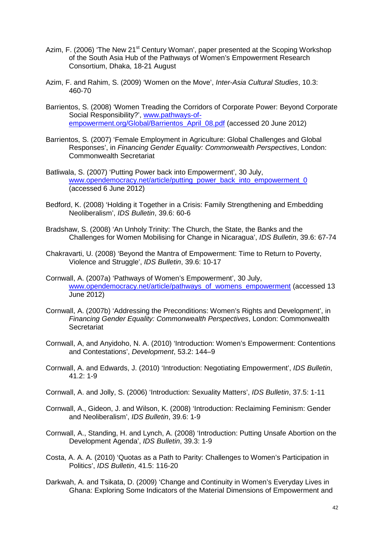- Azim, F. (2006) 'The New 21<sup>st</sup> Century Woman', paper presented at the Scoping Workshop of the South Asia Hub of the Pathways of Women's Empowerment Research Consortium, Dhaka, 18-21 August
- Azim, F. and Rahim, S. (2009) 'Women on the Move', *Inter-Asia Cultural Studies*, 10.3: 460-70
- Barrientos, S. (2008) 'Women Treading the Corridors of Corporate Power: Beyond Corporate Social Responsibility?', [www.pathways-of](http://www.pathways-of-empowerment.org/Global/Barrientos_April_08.pdf)[empowerment.org/Global/Barrientos\\_April\\_08.pdf](http://www.pathways-of-empowerment.org/Global/Barrientos_April_08.pdf) (accessed 20 June 2012)
- Barrientos, S. (2007) 'Female Employment in Agriculture: Global Challenges and Global Responses', in *Financing Gender Equality: Commonwealth Perspectives*, London: Commonwealth Secretariat
- Batliwala, S. (2007) 'Putting Power back into Empowerment', 30 July, [www.opendemocracy.net/article/putting\\_power\\_back\\_into\\_empowerment\\_0](http://www.opendemocracy.net/article/putting_power_back_into_empowerment_0) (accessed 6 June 2012)
- Bedford, K. (2008) 'Holding it Together in a Crisis: Family Strengthening and Embedding Neoliberalism', *IDS Bulletin*, 39.6: 60-6
- Bradshaw, S. (2008) 'An Unholy Trinity: The Church, the State, the Banks and the Challenges for Women Mobilising for Change in Nicaragua', *IDS Bulletin*, 39.6: 67-74
- Chakravarti, U. (2008) 'Beyond the Mantra of Empowerment: Time to Return to Poverty, Violence and Struggle', *IDS Bulletin*, 39.6: 10-17
- Cornwall, A. (2007a) 'Pathways of Women's Empowerment', 30 July, [www.opendemocracy.net/article/pathways\\_of\\_womens\\_empowerment](http://www.opendemocracy.net/article/pathways_of_womens_empowerment) (accessed 13 June 2012)
- Cornwall, A. (2007b) 'Addressing the Preconditions: Women's Rights and Development', in *Financing Gender Equality: Commonwealth Perspectives*, London: Commonwealth **Secretariat**
- Cornwall, A, and Anyidoho, N. A. (2010) 'Introduction: Women's Empowerment: Contentions and Contestations', *Development*, 53.2: 144–9
- Cornwall, A. and Edwards, J. (2010) 'Introduction: Negotiating Empowerment', *IDS Bulletin*, 41.2: 1-9
- Cornwall, A. and Jolly, S. (2006) 'Introduction: Sexuality Matters', *IDS Bulletin*, 37.5: 1-11
- Cornwall, A., Gideon, J. and Wilson, K. (2008) 'Introduction: Reclaiming Feminism: Gender and Neoliberalism', *IDS Bulletin*, 39.6: 1-9
- Cornwall, A., Standing, H. and Lynch, A. (2008) 'Introduction: Putting Unsafe Abortion on the Development Agenda', *IDS Bulletin*, 39.3: 1-9
- Costa, A. A. A. (2010) 'Quotas as a Path to Parity: Challenges to Women's Participation in Politics', *IDS Bulletin*, 41.5: 116-20
- Darkwah, A. and Tsikata, D. (2009) 'Change and Continuity in Women's Everyday Lives in Ghana: Exploring Some Indicators of the Material Dimensions of Empowerment and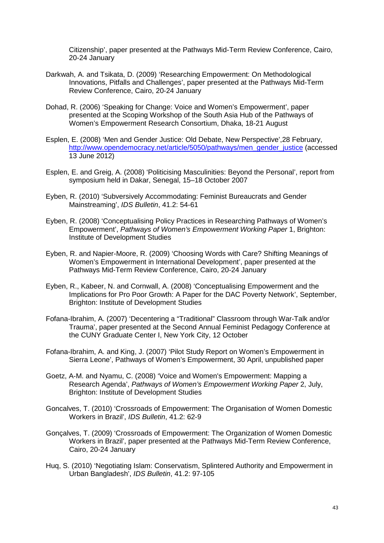Citizenship', paper presented at the Pathways Mid-Term Review Conference, Cairo, 20-24 January

- Darkwah, A. and Tsikata, D. (2009) 'Researching Empowerment: On Methodological Innovations, Pitfalls and Challenges', paper presented at the Pathways Mid-Term Review Conference, Cairo, 20-24 January
- Dohad, R. (2006) 'Speaking for Change: Voice and Women's Empowerment', paper presented at the Scoping Workshop of the South Asia Hub of the Pathways of Women's Empowerment Research Consortium, Dhaka, 18-21 August
- Esplen, E. (2008) 'Men and Gender Justice: Old Debate, New Perspective',28 February, [http://www.opendemocracy.net/article/5050/pathways/men\\_gender\\_justice](http://www.opendemocracy.net/article/5050/pathways/men_gender_justice) (accessed 13 June 2012)
- Esplen, E. and Greig, A. (2008) 'Politicising Masculinities: Beyond the Personal', report from symposium held in Dakar, Senegal, 15–18 October 2007
- Eyben, R. (2010) 'Subversively Accommodating: Feminist Bureaucrats and Gender Mainstreaming', *IDS Bulletin*, 41.2: 54-61
- Eyben, R. (2008) 'Conceptualising Policy Practices in Researching Pathways of Women's Empowerment', *Pathways of Women's Empowerment Working Paper* 1, Brighton: Institute of Development Studies
- Eyben, R. and Napier-Moore, R. (2009) 'Choosing Words with Care? Shifting Meanings of Women's Empowerment in International Development', paper presented at the Pathways Mid-Term Review Conference, Cairo, 20-24 January
- Eyben, R., Kabeer, N. and Cornwall, A. (2008) 'Conceptualising Empowerment and the Implications for Pro Poor Growth: A Paper for the DAC Poverty Network', September, Brighton: Institute of Development Studies
- Fofana-Ibrahim, A. (2007) 'Decentering a "Traditional" Classroom through War-Talk and/or Trauma', paper presented at the Second Annual Feminist Pedagogy Conference at the CUNY Graduate Center I, New York City, 12 October
- Fofana-Ibrahim, A. and King, J. (2007) 'Pilot Study Report on Women's Empowerment in Sierra Leone', Pathways of Women's Empowerment, 30 April, unpublished paper
- Goetz, A-M. and Nyamu, C. (2008) 'Voice and Women's Empowerment: Mapping a Research Agenda', *Pathways of Women's Empowerment Working Paper* 2, July, Brighton: Institute of Development Studies
- Goncalves, T. (2010) 'Crossroads of Empowerment: The Organisation of Women Domestic Workers in Brazil', *IDS Bulletin*, 41.2: 62-9
- Gonçalves, T. (2009) 'Crossroads of Empowerment: The Organization of Women Domestic Workers in Brazil', paper presented at the Pathways Mid-Term Review Conference, Cairo, 20-24 January
- Huq, S. (2010) 'Negotiating Islam: Conservatism, Splintered Authority and Empowerment in Urban Bangladesh', *IDS Bulletin*, 41.2: 97-105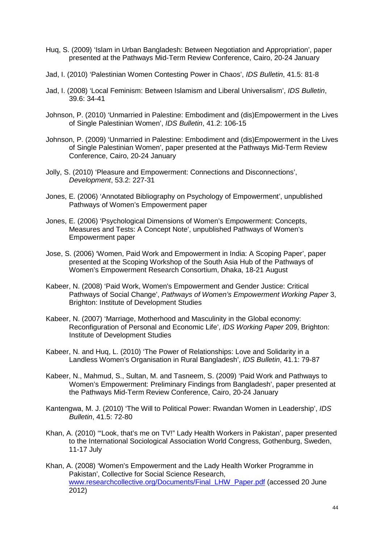- Huq, S. (2009) 'Islam in Urban Bangladesh: Between Negotiation and Appropriation', paper presented at the Pathways Mid-Term Review Conference, Cairo, 20-24 January
- Jad, I. (2010) 'Palestinian Women Contesting Power in Chaos', *IDS Bulletin*, 41.5: 81-8
- Jad, I. (2008) 'Local Feminism: Between Islamism and Liberal Universalism', *IDS Bulletin*, 39.6: 34-41
- Johnson, P. (2010) 'Unmarried in Palestine: Embodiment and (dis)Empowerment in the Lives of Single Palestinian Women', *IDS Bulletin*, 41.2: 106-15
- Johnson, P. (2009) 'Unmarried in Palestine: Embodiment and (dis)Empowerment in the Lives of Single Palestinian Women', paper presented at the Pathways Mid-Term Review Conference, Cairo, 20-24 January
- Jolly, S. (2010) 'Pleasure and Empowerment: Connections and Disconnections', *Development*, 53.2: 227-31
- Jones, E. (2006) 'Annotated Bibliography on Psychology of Empowerment', unpublished Pathways of Women's Empowerment paper
- Jones, E. (2006) 'Psychological Dimensions of Women's Empowerment: Concepts, Measures and Tests: A Concept Note', unpublished Pathways of Women's Empowerment paper
- Jose, S. (2006) 'Women, Paid Work and Empowerment in India: A Scoping Paper', paper presented at the Scoping Workshop of the South Asia Hub of the Pathways of Women's Empowerment Research Consortium, Dhaka, 18-21 August
- Kabeer, N. (2008) 'Paid Work, Women's Empowerment and Gender Justice: Critical Pathways of Social Change', *Pathways of Women's Empowerment Working Paper* 3, Brighton: Institute of Development Studies
- Kabeer, N. (2007) 'Marriage, Motherhood and Masculinity in the Global economy: Reconfiguration of Personal and Economic Life', *IDS Working Paper* 209, Brighton: Institute of Development Studies
- Kabeer, N. and Huq, L. (2010) 'The Power of Relationships: Love and Solidarity in a Landless Women's Organisation in Rural Bangladesh', *IDS Bulletin*, 41.1: 79-87
- Kabeer, N., Mahmud, S., Sultan, M. and Tasneem, S. (2009) 'Paid Work and Pathways to Women's Empowerment: Preliminary Findings from Bangladesh', paper presented at the Pathways Mid-Term Review Conference, Cairo, 20-24 January
- Kantengwa, M. J. (2010) 'The Will to Political Power: Rwandan Women in Leadership', *IDS Bulletin*, 41.5: 72-80
- Khan, A. (2010) '"Look, that's me on TV!" Lady Health Workers in Pakistan', paper presented to the International Sociological Association World Congress, Gothenburg, Sweden, 11-17 July
- Khan, A. (2008) 'Women's Empowerment and the Lady Health Worker Programme in Pakistan', Collective for Social Science Research, [www.researchcollective.org/Documents/Final\\_LHW\\_Paper.pdf](http://www.researchcollective.org/Documents/Final_LHW_Paper.pdf) (accessed 20 June 2012)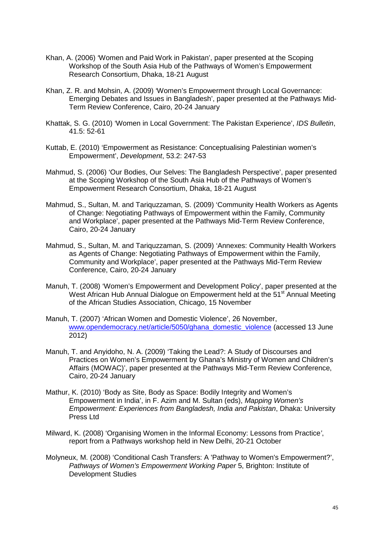- Khan, A. (2006) 'Women and Paid Work in Pakistan', paper presented at the Scoping Workshop of the South Asia Hub of the Pathways of Women's Empowerment Research Consortium, Dhaka, 18-21 August
- Khan, Z. R. and Mohsin, A. (2009) 'Women's Empowerment through Local Governance: Emerging Debates and Issues in Bangladesh', paper presented at the Pathways Mid-Term Review Conference, Cairo, 20-24 January
- Khattak, S. G. (2010) 'Women in Local Government: The Pakistan Experience', *IDS Bulletin*, 41.5: 52-61
- Kuttab, E. (2010) 'Empowerment as Resistance: Conceptualising Palestinian women's Empowerment', *Development*, 53.2: 247-53
- Mahmud, S. (2006) 'Our Bodies, Our Selves: The Bangladesh Perspective', paper presented at the Scoping Workshop of the South Asia Hub of the Pathways of Women's Empowerment Research Consortium, Dhaka, 18-21 August
- Mahmud, S., Sultan, M. and Tariquzzaman, S. (2009) 'Community Health Workers as Agents of Change: Negotiating Pathways of Empowerment within the Family, Community and Workplace', paper presented at the Pathways Mid-Term Review Conference, Cairo, 20-24 January
- Mahmud, S., Sultan, M. and Tariquzzaman, S. (2009) 'Annexes: Community Health Workers as Agents of Change: Negotiating Pathways of Empowerment within the Family, Community and Workplace', paper presented at the Pathways Mid-Term Review Conference, Cairo, 20-24 January
- Manuh, T. (2008) 'Women's Empowerment and Development Policy', paper presented at the West African Hub Annual Dialogue on Empowerment held at the 51<sup>st</sup> Annual Meeting of the African Studies Association, Chicago, 15 November
- Manuh, T. (2007) 'African Women and Domestic Violence', 26 November, [www.opendemocracy.net/article/5050/ghana\\_domestic\\_violence](http://www.opendemocracy.net/article/5050/ghana_domestic_violence) (accessed 13 June 2012)
- Manuh, T. and Anyidoho, N. A. (2009) 'Taking the Lead?: A Study of Discourses and Practices on Women's Empowerment by Ghana's Ministry of Women and Children's Affairs (MOWAC)', paper presented at the Pathways Mid-Term Review Conference, Cairo, 20-24 January
- Mathur, K. (2010) 'Body as Site, Body as Space: Bodily Integrity and Women's Empowerment in India', in F. Azim and M. Sultan (eds), *Mapping Women's Empowerment: Experiences from Bangladesh, India and Pakistan*, Dhaka: University Press Ltd
- Milward, K. (2008) 'Organising Women in the Informal Economy: Lessons from Practice*'*, report from a Pathways workshop held in New Delhi, 20-21 October
- Molyneux, M. (2008) 'Conditional Cash Transfers: A 'Pathway to Women's Empowerment?', *Pathways of Women's Empowerment Working Paper* 5, Brighton: Institute of Development Studies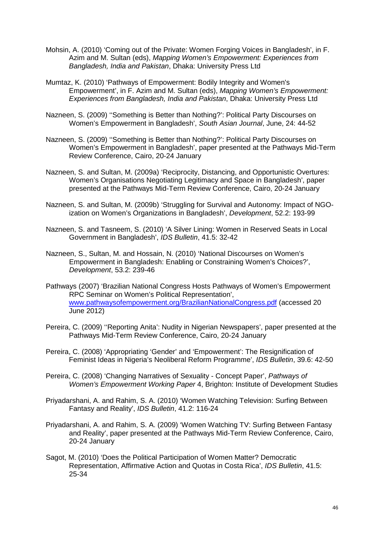- Mohsin, A. (2010) 'Coming out of the Private: Women Forging Voices in Bangladesh', in F. Azim and M. Sultan (eds), *Mapping Women's Empowerment: Experiences from Bangladesh, India and Pakistan*, Dhaka: University Press Ltd
- Mumtaz, K. (2010) 'Pathways of Empowerment: Bodily Integrity and Women's Empowerment', in F. Azim and M. Sultan (eds), *Mapping Women's Empowerment: Experiences from Bangladesh, India and Pakistan*, Dhaka: University Press Ltd
- Nazneen, S. (2009) ''Something is Better than Nothing?': Political Party Discourses on Women's Empowerment in Bangladesh', *South Asian Journal*, June, 24: 44-52
- Nazneen, S. (2009) ''Something is Better than Nothing?': Political Party Discourses on Women's Empowerment in Bangladesh', paper presented at the Pathways Mid-Term Review Conference, Cairo, 20-24 January
- Nazneen, S. and Sultan, M. (2009a) 'Reciprocity, Distancing, and Opportunistic Overtures: Women's Organisations Negotiating Legitimacy and Space in Bangladesh', paper presented at the Pathways Mid-Term Review Conference, Cairo, 20-24 January
- Nazneen, S. and Sultan, M. (2009b) 'Struggling for Survival and Autonomy: Impact of NGOization on Women's Organizations in Bangladesh', *Development*, 52.2: 193-99
- Nazneen, S. and Tasneem, S. (2010) 'A Silver Lining: Women in Reserved Seats in Local Government in Bangladesh', *IDS Bulletin*, 41.5: 32-42
- Nazneen, S., Sultan, M. and Hossain, N. (2010) 'National Discourses on Women's Empowerment in Bangladesh: Enabling or Constraining Women's Choices?', *Development*, 53.2: 239-46
- Pathways (2007) 'Brazilian National Congress Hosts Pathways of Women's Empowerment RPC Seminar on Women's Political Representation', [www.pathwaysofempowerment.org/BrazilianNationalCongress.pdf](http://www.pathwaysofempowerment.org/BrazilianNationalCongress.pdf) (accessed 20 June 2012)
- Pereira, C. (2009) "Reporting Anita': Nudity in Nigerian Newspapers', paper presented at the Pathways Mid-Term Review Conference, Cairo, 20-24 January
- Pereira, C. (2008) 'Appropriating 'Gender' and 'Empowerment': The Resignification of Feminist Ideas in Nigeria's Neoliberal Reform Programme', *IDS Bulletin*, 39.6: 42-50
- Pereira, C. (2008) 'Changing Narratives of Sexuality Concept Paper', *Pathways of Women's Empowerment Working Paper* 4, Brighton: Institute of Development Studies
- Priyadarshani, A. and Rahim, S. A. (2010) 'Women Watching Television: Surfing Between Fantasy and Reality', *IDS Bulletin*, 41.2: 116-24
- Priyadarshani, A. and Rahim, S. A. (2009) 'Women Watching TV: Surfing Between Fantasy and Reality', paper presented at the Pathways Mid-Term Review Conference, Cairo, 20-24 January
- Sagot, M. (2010) 'Does the Political Participation of Women Matter? Democratic Representation, Affirmative Action and Quotas in Costa Rica', *IDS Bulletin*, 41.5: 25-34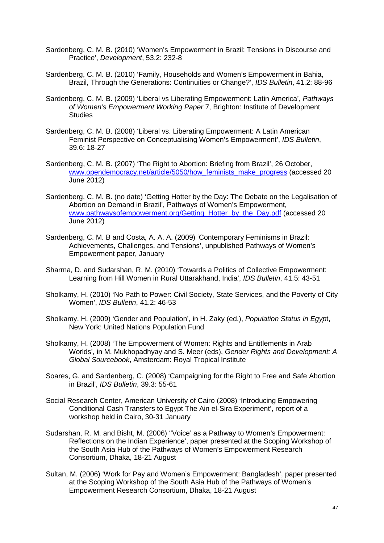- Sardenberg, C. M. B. (2010) 'Women's Empowerment in Brazil: Tensions in Discourse and Practice', *Development*, 53.2: 232-8
- Sardenberg, C. M. B. (2010) 'Family, Households and Women's Empowerment in Bahia, Brazil, Through the Generations: Continuities or Change?', *IDS Bulletin*, 41.2: 88-96
- Sardenberg, C. M. B. (2009) 'Liberal vs Liberating Empowerment: Latin America', *Pathways of Women's Empowerment Working Paper* 7, Brighton: Institute of Development **Studies**
- Sardenberg, C. M. B. (2008) 'Liberal vs. Liberating Empowerment: A Latin American Feminist Perspective on Conceptualising Women's Empowerment', *IDS Bulletin*, 39.6: 18-27
- Sardenberg, C. M. B. (2007) 'The Right to Abortion: Briefing from Brazil', 26 October, www.opendemocracy.net/article/5050/how feminists make progress (accessed 20 June 2012)
- Sardenberg, C. M. B. (no date) 'Getting Hotter by the Day: The Debate on the Legalisation of Abortion on Demand in Brazil', Pathways of Women's Empowerment, www.pathwaysofempowerment.org/Getting Hotter by the Day.pdf (accessed 20 June 2012)
- Sardenberg, C. M. B and Costa, A. A. A. (2009) 'Contemporary Feminisms in Brazil: Achievements, Challenges, and Tensions', unpublished Pathways of Women's Empowerment paper, January
- Sharma, D. and Sudarshan, R. M. (2010) 'Towards a Politics of Collective Empowerment: Learning from Hill Women in Rural Uttarakhand, India', *IDS Bulletin*, 41.5: 43-51
- Sholkamy, H. (2010) 'No Path to Power: Civil Society, State Services, and the Poverty of City Women', *IDS Bulletin*, 41.2: 46-53
- Sholkamy, H. (2009) 'Gender and Population', in H. Zaky (ed.), *Population Status in Egyp*t, New York: United Nations Population Fund
- Sholkamy, H. (2008) 'The Empowerment of Women: Rights and Entitlements in Arab Worlds', in M. Mukhopadhyay and S. Meer (eds), *Gender Rights and Development: A Global Sourcebook*, Amsterdam: Royal Tropical Institute
- Soares, G. and Sardenberg, C. (2008) 'Campaigning for the Right to Free and Safe Abortion in Brazil', *IDS Bulletin*, 39.3: 55-61
- Social Research Center, American University of Cairo (2008) 'Introducing Empowering Conditional Cash Transfers to Egypt The Ain el-Sira Experiment', report of a workshop held in Cairo, 30-31 January
- Sudarshan, R. M. and Bisht, M. (2006) ''Voice' as a Pathway to Women's Empowerment: Reflections on the Indian Experience', paper presented at the Scoping Workshop of the South Asia Hub of the Pathways of Women's Empowerment Research Consortium, Dhaka, 18-21 August
- Sultan, M. (2006) 'Work for Pay and Women's Empowerment: Bangladesh', paper presented at the Scoping Workshop of the South Asia Hub of the Pathways of Women's Empowerment Research Consortium, Dhaka, 18-21 August